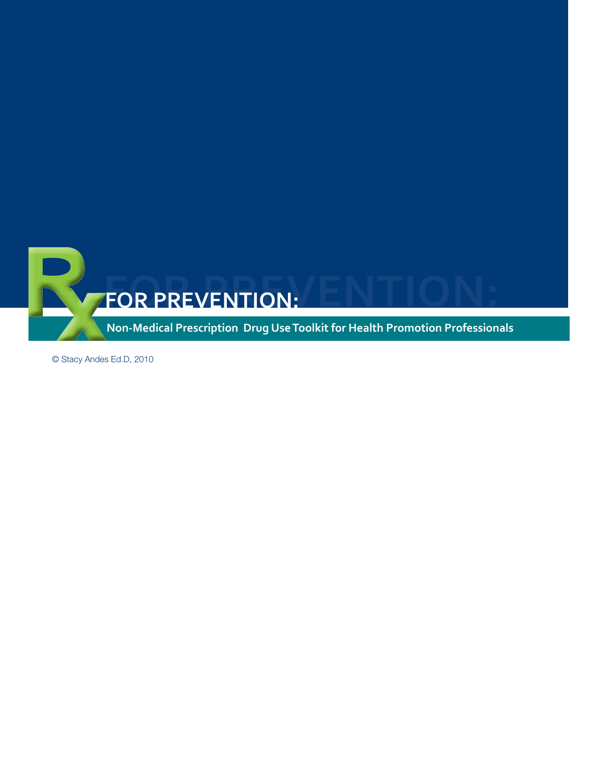

© Stacy Andes Ed.D, 2010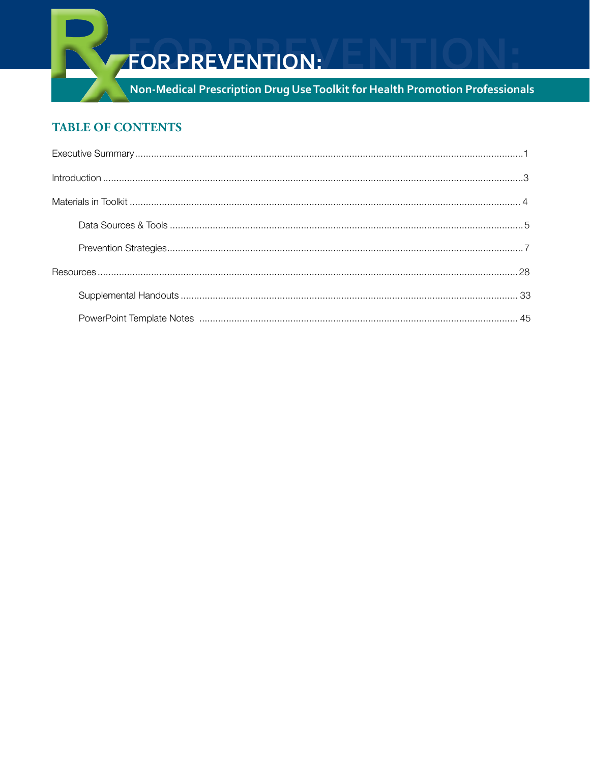

# **FOR PREVENTION:**

Non-Medical Prescription Drug Use Toolkit for Health Promotion Professionals

# **TABLE OF CONTENTS**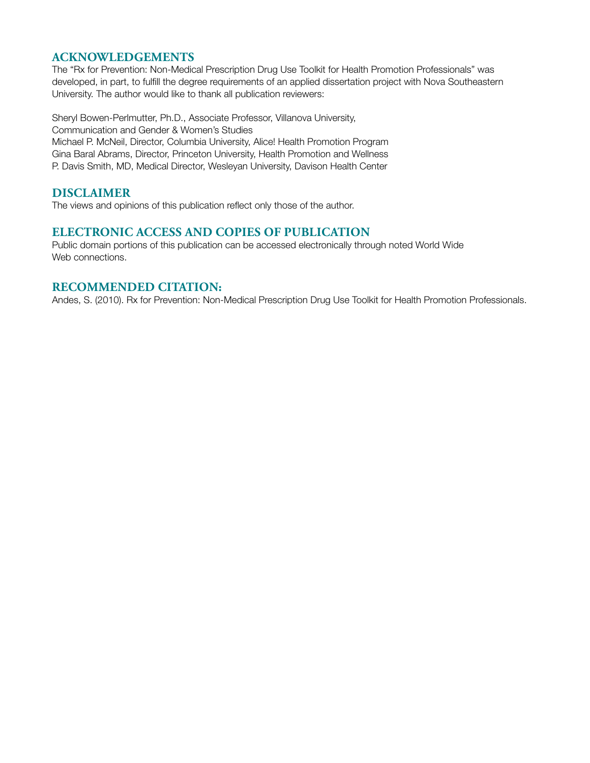## **Acknowledgements**

The "Rx for Prevention: Non-Medical Prescription Drug Use Toolkit for Health Promotion Professionals" was developed, in part, to fulfill the degree requirements of an applied dissertation project with Nova Southeastern University. The author would like to thank all publication reviewers:

Sheryl Bowen-Perlmutter, Ph.D., Associate Professor, Villanova University, Communication and Gender & Women's Studies Michael P. McNeil, Director, Columbia University, Alice! Health Promotion Program Gina Baral Abrams, Director, Princeton University, Health Promotion and Wellness P. Davis Smith, MD, Medical Director, Wesleyan University, Davison Health Center

#### **Disclaimer**

The views and opinions of this publication reflect only those of the author.

#### **Electronic Access and Copies of Publication**

Public domain portions of this publication can be accessed electronically through noted World Wide Web connections.

#### **Recommended Citation:**

Andes, S. (2010). Rx for Prevention: Non-Medical Prescription Drug Use Toolkit for Health Promotion Professionals.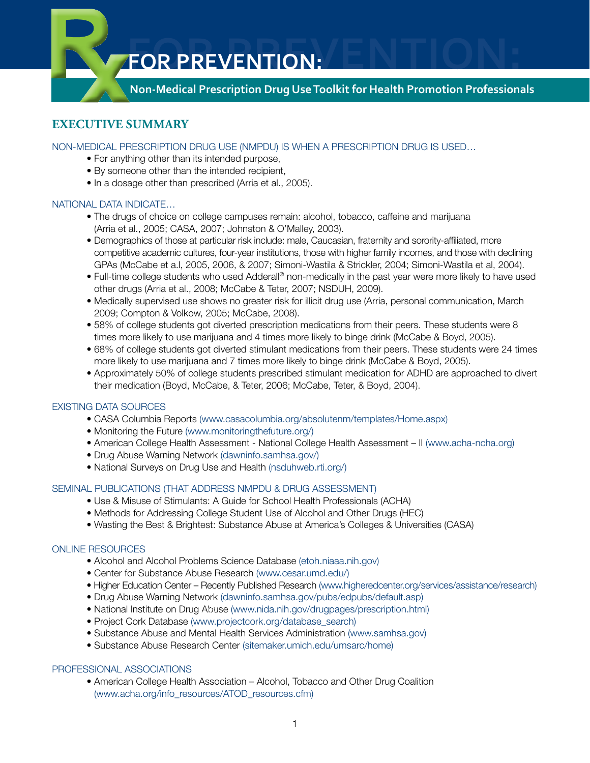**Non-Medical Prescription Drug Use Toolkit for Health Promotion Professionals**

# **Executive Summary**

NON-MEDICAL PRESCRIPTION DRUG USE (NMPDU) IS WHEN A PRESCRIPTION DRUG IS USED…

- For anything other than its intended purpose,
- By someone other than the intended recipient,
- In a dosage other than prescribed (Arria et al., 2005).

#### NATIONAL DATA INDICATE…

- The drugs of choice on college campuses remain: alcohol, tobacco, caffeine and marijuana (Arria et al., 2005; CASA, 2007; Johnston & O'Malley, 2003).
- Demographics of those at particular risk include: male, Caucasian, fraternity and sorority-affiliated, more competitive academic cultures, four-year institutions, those with higher family incomes, and those with declining GPAs (McCabe et a.l, 2005, 2006, & 2007; Simoni-Wastila & Strickler, 2004; Simoni-Wastila et al, 2004).
- Full-time college students who used Adderall® non-medically in the past year were more likely to have used other drugs (Arria et al., 2008; McCabe & Teter, 2007; NSDUH, 2009).
- Medically supervised use shows no greater risk for illicit drug use (Arria, personal communication, March 2009; Compton & Volkow, 2005; McCabe, 2008).
- 58% of college students got diverted prescription medications from their peers. These students were 8 times more likely to use marijuana and 4 times more likely to binge drink (McCabe & Boyd, 2005).
- 68% of college students got diverted stimulant medications from their peers. These students were 24 times more likely to use marijuana and 7 times more likely to binge drink (McCabe & Boyd, 2005).
- Approximately 50% of college students prescribed stimulant medication for ADHD are approached to divert their medication (Boyd, McCabe, & Teter, 2006; McCabe, Teter, & Boyd, 2004).

#### EXISTING DATA SOURCES

- CASA Columbia Reports (www.casacolumbia.org/absolutenm/templates/Home.aspx)
- Monitoring the Future (www.monitoringthefuture.org/)
- American College Health Assessment National College Health Assessment II (www.acha-ncha.org)
- Drug Abuse Warning Network (dawninfo.samhsa.gov/)
- National Surveys on Drug Use and Health (nsduhweb.rti.org/)

#### SEMINAL PUBLICATIONS (THAT ADDRESS NMPDU & DRUG ASSESSMENT)

- Use & Misuse of Stimulants: A Guide for School Health Professionals (ACHA)
- Methods for Addressing College Student Use of Alcohol and Other Drugs (HEC)
- Wasting the Best & Brightest: Substance Abuse at America's Colleges & Universities (CASA)

#### ONLINE RESOURCES

- Alcohol and Alcohol Problems Science Database (etoh.niaaa.nih.gov)
- Center for Substance Abuse Research (www.cesar.umd.edu/)
- Higher Education Center Recently Published Research (www.higheredcenter.org/services/assistance/research)
- Drug Abuse Warning Network (dawninfo.samhsa.gov/pubs/edpubs/default.asp)
- National Institute on Drug Abuse (www.nida.nih.gov/drugpages/prescription.html) 106
- Project Cork Database (www.projectcork.org/database\_search)
- Substance Abuse and Mental Health Services Administration (www.samhsa.gov)
- Substance Abuse Research Center (sitemaker.umich.edu/umsarc/home)

#### PROFESSIONAL ASSOCIATIONS

• American College Health Association – Alcohol, Tobacco and Other Drug Coalition (www.acha.org/info\_resources/ATOD\_resources.cfm)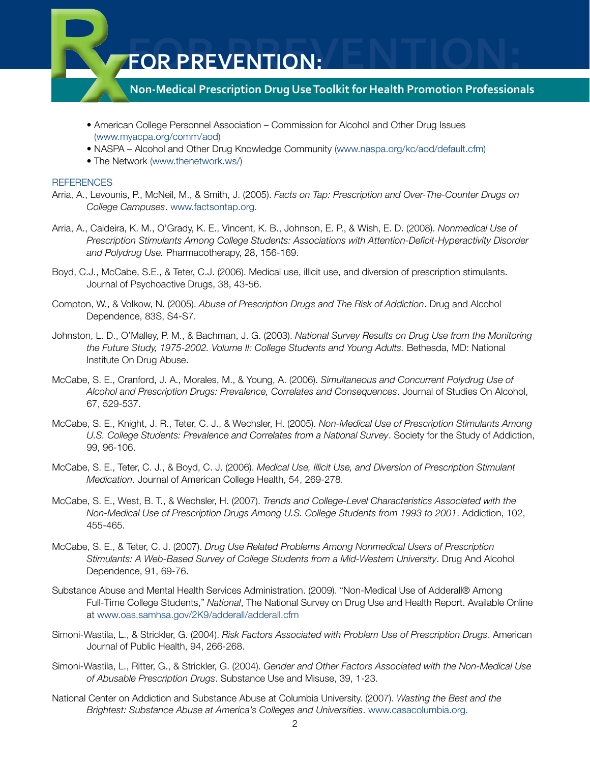

- American College Personnel Association Commission for Alcohol and Other Drug Issues (www.myacpa.org/comm/aod)
- NASPA Alcohol and Other Drug Knowledge Community (www.naspa.org/kc/aod/default.cfm)
- The Network (www.thenetwork.ws/)

#### REFERENCES

- Arria, A., Levounis, P., McNeil, M., & Smith, J. (2005). *Facts on Tap: Prescription and Over-The-Counter Drugs on College Campuses*. www.factsontap.org.
- Arria, A., Caldeira, K. M., O'Grady, K. E., Vincent, K. B., Johnson, E. P., & Wish, E. D. (2008). *Nonmedical Use of Prescription Stimulants Among College Students: Associations with Attention-Deficit-Hyperactivity Disorder and Polydrug Use.* Pharmacotherapy, 28, 156-169.
- Boyd, C.J., McCabe, S.E., & Teter, C.J. (2006). Medical use, illicit use, and diversion of prescription stimulants. Journal of Psychoactive Drugs, 38, 43-56.
- Compton, W., & Volkow, N. (2005). *Abuse of Prescription Drugs and The Risk of Addiction*. Drug and Alcohol Dependence, 83S, S4-S7.
- Johnston, L. D., O'Malley, P. M., & Bachman, J. G. (2003). *National Survey Results on Drug Use from the Monitoring the Future Study, 1975-2002. Volume II: College Students and Young Adults.* Bethesda, MD: National Institute On Drug Abuse.
- McCabe, S. E., Cranford, J. A., Morales, M., & Young, A. (2006). *Simultaneous and Concurrent Polydrug Use of Alcohol and Prescription Drugs: Prevalence, Correlates and Consequences*. Journal of Studies On Alcohol, 67, 529-537.
- McCabe, S. E., Knight, J. R., Teter, C. J., & Wechsler, H. (2005). *Non-Medical Use of Prescription Stimulants Among U.S. College Students: Prevalence and Correlates from a National Survey*. Society for the Study of Addiction, 99, 96-106.
- McCabe, S. E., Teter, C. J., & Boyd, C. J. (2006). *Medical Use, Illicit Use, and Diversion of Prescription Stimulant Medication*. Journal of American College Health, 54, 269-278.
- McCabe, S. E., West, B. T., & Wechsler, H. (2007). *Trends and College-Level Characteristics Associated with the Non-Medical Use of Prescription Drugs Among U.S. College Students from 1993 to 2001*. Addiction, 102, 455-465.
- McCabe, S. E., & Teter, C. J. (2007). *Drug Use Related Problems Among Nonmedical Users of Prescription Stimulants: A Web-Based Survey of College Students from a Mid-Western University*. Drug And Alcohol Dependence, 91, 69-76.
- Substance Abuse and Mental Health Services Administration. (2009). "Non-Medical Use of Adderall® Among Full-Time College Students," *National*, The National Survey on Drug Use and Health Report. Available Online at www.oas.samhsa.gov/2K9/adderall/adderall.cfm
- Simoni-Wastila, L., & Strickler, G. (2004). *Risk Factors Associated with Problem Use of Prescription Drugs*. American Journal of Public Health, 94, 266-268.
- Simoni-Wastila, L., Ritter, G., & Strickler, G. (2004). *Gender and Other Factors Associated with the Non-Medical Use of Abusable Prescription Drugs*. Substance Use and Misuse, 39, 1-23.
- National Center on Addiction and Substance Abuse at Columbia University. (2007). *Wasting the Best and the Brightest: Substance Abuse at America's Colleges and Universities*. www.casacolumbia.org.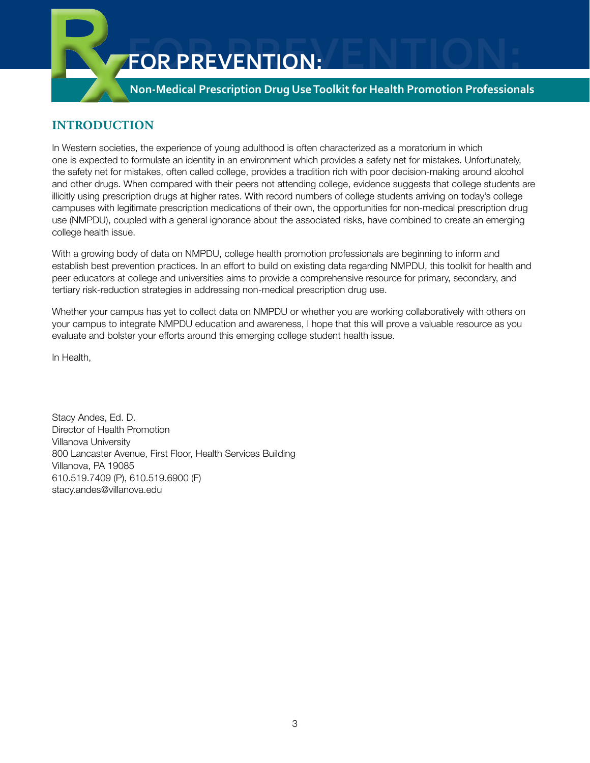

# **Introduction**

In Western societies, the experience of young adulthood is often characterized as a moratorium in which one is expected to formulate an identity in an environment which provides a safety net for mistakes. Unfortunately, the safety net for mistakes, often called college, provides a tradition rich with poor decision-making around alcohol and other drugs. When compared with their peers not attending college, evidence suggests that college students are illicitly using prescription drugs at higher rates. With record numbers of college students arriving on today's college campuses with legitimate prescription medications of their own, the opportunities for non-medical prescription drug use (NMPDU), coupled with a general ignorance about the associated risks, have combined to create an emerging college health issue.

With a growing body of data on NMPDU, college health promotion professionals are beginning to inform and establish best prevention practices. In an effort to build on existing data regarding NMPDU, this toolkit for health and peer educators at college and universities aims to provide a comprehensive resource for primary, secondary, and tertiary risk-reduction strategies in addressing non-medical prescription drug use.

Whether your campus has yet to collect data on NMPDU or whether you are working collaboratively with others on your campus to integrate NMPDU education and awareness, I hope that this will prove a valuable resource as you evaluate and bolster your efforts around this emerging college student health issue.

In Health,

Stacy Andes, Ed. D. Director of Health Promotion Villanova University 800 Lancaster Avenue, First Floor, Health Services Building Villanova, PA 19085 610.519.7409 (P), 610.519.6900 (F) stacy.andes@villanova.edu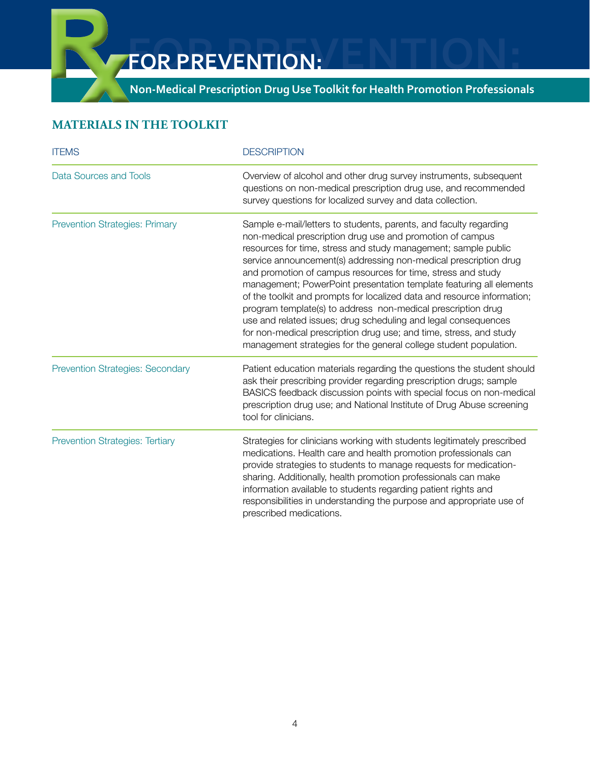**Non-Medical Prescription Drug Use Toolkit for Health Promotion Professionals**

# **Materials In the Toolkit**

| <b>ITEMS</b>                            | <b>DESCRIPTION</b>                                                                                                                                                                                                                                                                                                                                                                                                                                                                                                                                                                                                                                                                                                                                                  |
|-----------------------------------------|---------------------------------------------------------------------------------------------------------------------------------------------------------------------------------------------------------------------------------------------------------------------------------------------------------------------------------------------------------------------------------------------------------------------------------------------------------------------------------------------------------------------------------------------------------------------------------------------------------------------------------------------------------------------------------------------------------------------------------------------------------------------|
| Data Sources and Tools                  | Overview of alcohol and other drug survey instruments, subsequent<br>questions on non-medical prescription drug use, and recommended<br>survey questions for localized survey and data collection.                                                                                                                                                                                                                                                                                                                                                                                                                                                                                                                                                                  |
| <b>Prevention Strategies: Primary</b>   | Sample e-mail/letters to students, parents, and faculty regarding<br>non-medical prescription drug use and promotion of campus<br>resources for time, stress and study management; sample public<br>service announcement(s) addressing non-medical prescription drug<br>and promotion of campus resources for time, stress and study<br>management; PowerPoint presentation template featuring all elements<br>of the toolkit and prompts for localized data and resource information;<br>program template(s) to address non-medical prescription drug<br>use and related issues; drug scheduling and legal consequences<br>for non-medical prescription drug use; and time, stress, and study<br>management strategies for the general college student population. |
| <b>Prevention Strategies: Secondary</b> | Patient education materials regarding the questions the student should<br>ask their prescribing provider regarding prescription drugs; sample<br>BASICS feedback discussion points with special focus on non-medical<br>prescription drug use; and National Institute of Drug Abuse screening<br>tool for clinicians.                                                                                                                                                                                                                                                                                                                                                                                                                                               |
| <b>Prevention Strategies: Tertiary</b>  | Strategies for clinicians working with students legitimately prescribed<br>medications. Health care and health promotion professionals can<br>provide strategies to students to manage requests for medication-<br>sharing. Additionally, health promotion professionals can make<br>information available to students regarding patient rights and<br>responsibilities in understanding the purpose and appropriate use of<br>prescribed medications.                                                                                                                                                                                                                                                                                                              |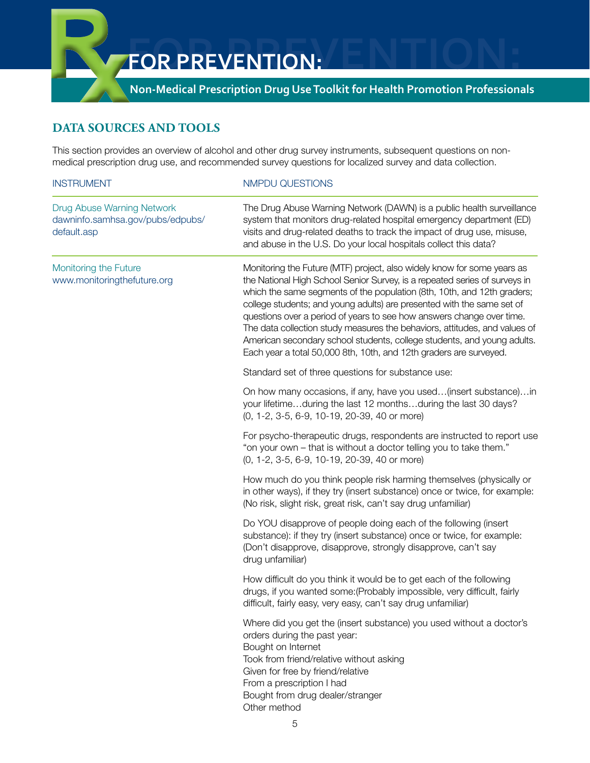

# **Data Sources and Tools**

This section provides an overview of alcohol and other drug survey instruments, subsequent questions on nonmedical prescription drug use, and recommended survey questions for localized survey and data collection.

| <b>INSTRUMENT</b>                                                             | NMPDU QUESTIONS                                                                                                                                                                                                                                                                                                                                                                                                                                                                                                                                                                                                    |  |  |  |  |  |
|-------------------------------------------------------------------------------|--------------------------------------------------------------------------------------------------------------------------------------------------------------------------------------------------------------------------------------------------------------------------------------------------------------------------------------------------------------------------------------------------------------------------------------------------------------------------------------------------------------------------------------------------------------------------------------------------------------------|--|--|--|--|--|
| Drug Abuse Warning Network<br>dawninfo.samhsa.gov/pubs/edpubs/<br>default.asp | The Drug Abuse Warning Network (DAWN) is a public health surveillance<br>system that monitors drug-related hospital emergency department (ED)<br>visits and drug-related deaths to track the impact of drug use, misuse,<br>and abuse in the U.S. Do your local hospitals collect this data?                                                                                                                                                                                                                                                                                                                       |  |  |  |  |  |
| Monitoring the Future<br>www.monitoringthefuture.org                          | Monitoring the Future (MTF) project, also widely know for some years as<br>the National High School Senior Survey, is a repeated series of surveys in<br>which the same segments of the population (8th, 10th, and 12th graders;<br>college students; and young adults) are presented with the same set of<br>questions over a period of years to see how answers change over time.<br>The data collection study measures the behaviors, attitudes, and values of<br>American secondary school students, college students, and young adults.<br>Each year a total 50,000 8th, 10th, and 12th graders are surveyed. |  |  |  |  |  |
|                                                                               | Standard set of three questions for substance use:                                                                                                                                                                                                                                                                                                                                                                                                                                                                                                                                                                 |  |  |  |  |  |
|                                                                               | On how many occasions, if any, have you used(insert substance)in<br>your lifetimeduring the last 12 monthsduring the last 30 days?<br>(0, 1-2, 3-5, 6-9, 10-19, 20-39, 40 or more)                                                                                                                                                                                                                                                                                                                                                                                                                                 |  |  |  |  |  |
|                                                                               | For psycho-therapeutic drugs, respondents are instructed to report use<br>"on your own - that is without a doctor telling you to take them."<br>(0, 1-2, 3-5, 6-9, 10-19, 20-39, 40 or more)                                                                                                                                                                                                                                                                                                                                                                                                                       |  |  |  |  |  |
|                                                                               | How much do you think people risk harming themselves (physically or<br>in other ways), if they try (insert substance) once or twice, for example:<br>(No risk, slight risk, great risk, can't say drug unfamiliar)                                                                                                                                                                                                                                                                                                                                                                                                 |  |  |  |  |  |
|                                                                               | Do YOU disapprove of people doing each of the following (insert<br>substance): if they try (insert substance) once or twice, for example:<br>(Don't disapprove, disapprove, strongly disapprove, can't say<br>drug unfamiliar)                                                                                                                                                                                                                                                                                                                                                                                     |  |  |  |  |  |
|                                                                               | How difficult do you think it would be to get each of the following<br>drugs, if you wanted some: (Probably impossible, very difficult, fairly<br>difficult, fairly easy, very easy, can't say drug unfamiliar)                                                                                                                                                                                                                                                                                                                                                                                                    |  |  |  |  |  |
|                                                                               | Where did you get the (insert substance) you used without a doctor's<br>orders during the past year:<br>Bought on Internet<br>Took from friend/relative without asking<br>Given for free by friend/relative<br>From a prescription I had<br>Bought from drug dealer/stranger<br>Other method                                                                                                                                                                                                                                                                                                                       |  |  |  |  |  |
|                                                                               | 5                                                                                                                                                                                                                                                                                                                                                                                                                                                                                                                                                                                                                  |  |  |  |  |  |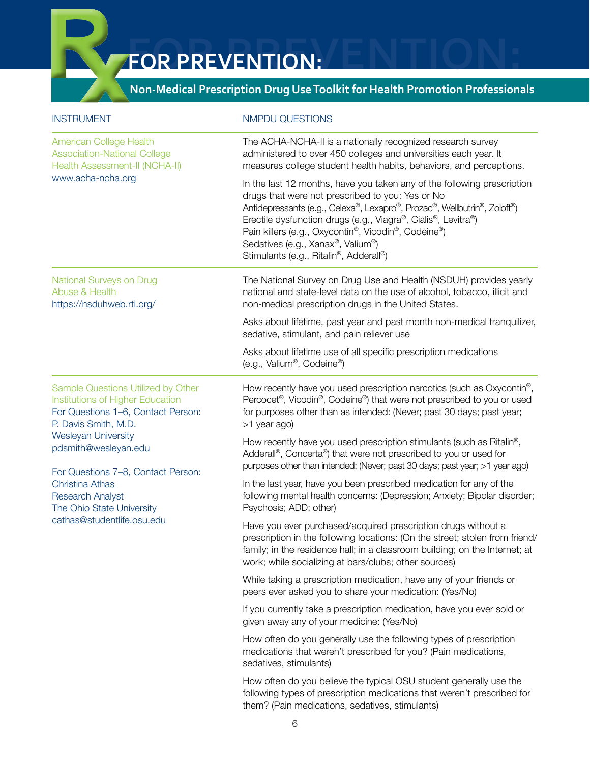# **Non-Medical Prescription Drug Use Toolkit for Health Promotion Professionals**

| <b>INSTRUMENT</b>                                                                                                                    | <b>NMPDU QUESTIONS</b>                                                                                                                                                                                                                                                                                                                                                                                         |
|--------------------------------------------------------------------------------------------------------------------------------------|----------------------------------------------------------------------------------------------------------------------------------------------------------------------------------------------------------------------------------------------------------------------------------------------------------------------------------------------------------------------------------------------------------------|
| <b>American College Health</b><br><b>Association-National College</b><br>Health Assessment-II (NCHA-II)                              | The ACHA-NCHA-II is a nationally recognized research survey<br>administered to over 450 colleges and universities each year. It<br>measures college student health habits, behaviors, and perceptions.                                                                                                                                                                                                         |
| www.acha-ncha.org                                                                                                                    | In the last 12 months, have you taken any of the following prescription<br>drugs that were not prescribed to you: Yes or No<br>Antidepressants (e.g., Celexa®, Lexapro®, Prozac®, Wellbutrin®, Zoloft®)<br>Erectile dysfunction drugs (e.g., Viagra®, Cialis®, Levitra®)<br>Pain killers (e.g., Oxycontin®, Vicodin®, Codeine®)<br>Sedatives (e.g., Xanax®, Valium®)<br>Stimulants (e.g., Ritalin®, Adderall®) |
| National Surveys on Drug<br>Abuse & Health<br>https://nsduhweb.rti.org/                                                              | The National Survey on Drug Use and Health (NSDUH) provides yearly<br>national and state-level data on the use of alcohol, tobacco, illicit and<br>non-medical prescription drugs in the United States.                                                                                                                                                                                                        |
|                                                                                                                                      | Asks about lifetime, past year and past month non-medical tranquilizer,<br>sedative, stimulant, and pain reliever use                                                                                                                                                                                                                                                                                          |
|                                                                                                                                      | Asks about lifetime use of all specific prescription medications<br>(e.g., Valium®, Codeine®)                                                                                                                                                                                                                                                                                                                  |
| Sample Questions Utilized by Other<br>Institutions of Higher Education<br>For Questions 1-6, Contact Person:<br>P. Davis Smith, M.D. | How recently have you used prescription narcotics (such as Oxycontin <sup>®</sup> ,<br>Percocet <sup>®</sup> , Vicodin®, Codeine®) that were not prescribed to you or used<br>for purposes other than as intended: (Never; past 30 days; past year;<br>>1 year ago)                                                                                                                                            |
| <b>Wesleyan University</b><br>pdsmith@wesleyan.edu<br>For Questions 7-8, Contact Person:                                             | How recently have you used prescription stimulants (such as Ritalin®,<br>Adderall®, Concerta®) that were not prescribed to you or used for<br>purposes other than intended: (Never; past 30 days; past year; >1 year ago)                                                                                                                                                                                      |
| <b>Christina Athas</b><br><b>Research Analyst</b><br>The Ohio State University                                                       | In the last year, have you been prescribed medication for any of the<br>following mental health concerns: (Depression; Anxiety; Bipolar disorder;<br>Psychosis; ADD; other)                                                                                                                                                                                                                                    |
| cathas@studentlife.osu.edu                                                                                                           | Have you ever purchased/acquired prescription drugs without a<br>prescription in the following locations: (On the street; stolen from friend/<br>family; in the residence hall; in a classroom building; on the Internet; at<br>work; while socializing at bars/clubs; other sources)                                                                                                                          |
|                                                                                                                                      | While taking a prescription medication, have any of your friends or<br>peers ever asked you to share your medication: (Yes/No)                                                                                                                                                                                                                                                                                 |
|                                                                                                                                      | If you currently take a prescription medication, have you ever sold or<br>given away any of your medicine: (Yes/No)                                                                                                                                                                                                                                                                                            |
|                                                                                                                                      | How often do you generally use the following types of prescription<br>medications that weren't prescribed for you? (Pain medications,<br>sedatives, stimulants)                                                                                                                                                                                                                                                |
|                                                                                                                                      | How often do you believe the typical OSU student generally use the<br>following types of prescription medications that weren't prescribed for<br>them? (Pain medications, sedatives, stimulants)                                                                                                                                                                                                               |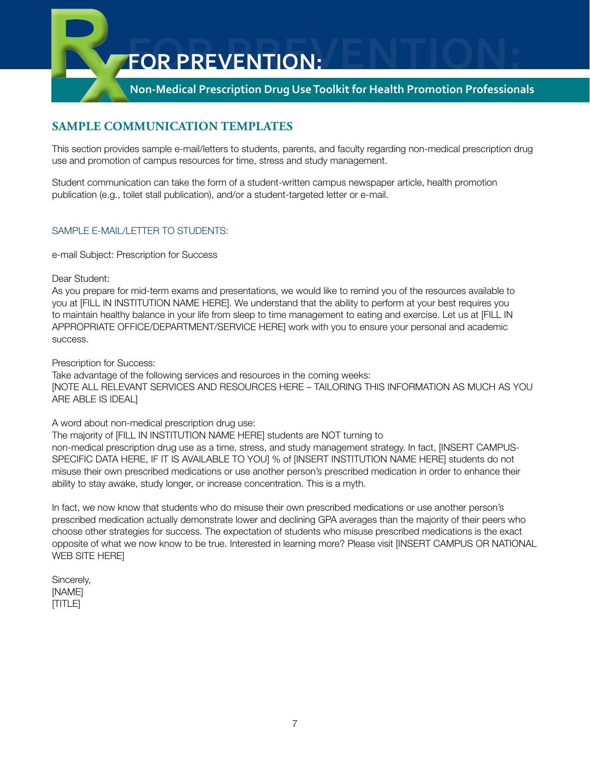# **Non-Medical Prescription Drug Use Toolkit for Health Promotion Professionals**

# **Sample Communication Templates**

This section provides sample e-mail/letters to students, parents, and faculty regarding non-medical prescription drug use and promotion of campus resources for time, stress and study management.

Student communication can take the form of a student-written campus newspaper article, health promotion publication (e.g., toilet stall publication), and/or a student-targeted letter or e-mail.

#### SAMPLE E-MAIL/LETTER TO STUDENTS:

e-mail Subject: Prescription for Success

Dear Student:

As you prepare for mid-term exams and presentations, we would like to remind you of the resources available to you at [FILL IN INSTITUTION NAME HERE]. We understand that the ability to perform at your best requires you to maintain healthy balance in your life from sleep to time management to eating and exercise. Let us at [FILL IN APPROPRIATE OFFICE/DEPARTMENT/SERVICE HERE] work with you to ensure your personal and academic success.

Prescription for Success:

Take advantage of the following services and resources in the coming weeks: [NOTE ALL RELEVANT SERVICES AND RESOURCES HERE – TAILORING THIS INFORMATION AS MUCH AS YOU ARE ABLE IS IDEAL]

A word about non-medical prescription drug use:

The majority of [FILL IN INSTITUTION NAME HERE] students are NOT turning to non-medical prescription drug use as a time, stress, and study management strategy. In fact, [INSERT CAMPUS-SPECIFIC DATA HERE, IF IT IS AVAILABLE TO YOU] % of [INSERT INSTITUTION NAME HERE] students do not misuse their own prescribed medications or use another person's prescribed medication in order to enhance their ability to stay awake, study longer, or increase concentration. This is a myth.

In fact, we now know that students who do misuse their own prescribed medications or use another person's prescribed medication actually demonstrate lower and declining GPA averages than the majority of their peers who choose other strategies for success. The expectation of students who misuse prescribed medications is the exact opposite of what we now know to be true. Interested in learning more? Please visit [INSERT CAMPUS OR NATIONAL WEB SITE HERE]

Sincerely, [NAME] [TITLE]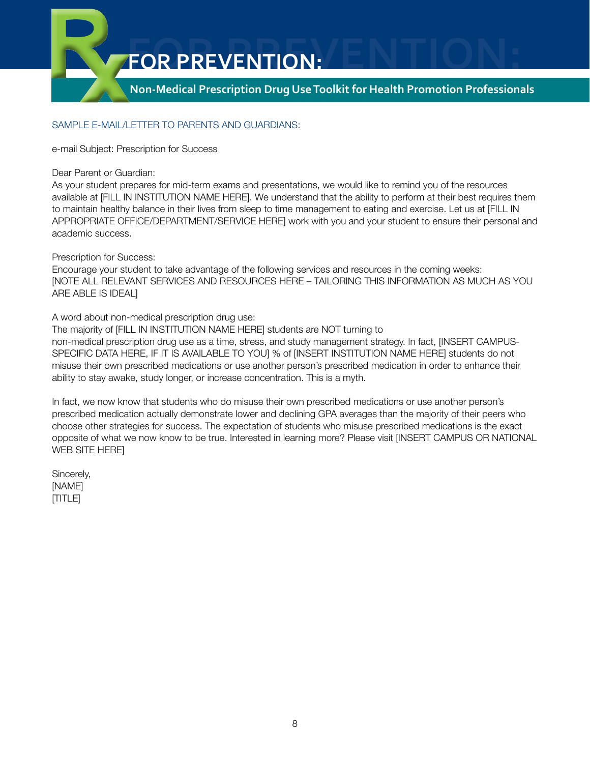

#### Sample e-mail/letter to Parents and Guardians:

e-mail Subject: Prescription for Success

Dear Parent or Guardian:

As your student prepares for mid-term exams and presentations, we would like to remind you of the resources available at [FILL IN INSTITUTION NAME HERE]. We understand that the ability to perform at their best requires them to maintain healthy balance in their lives from sleep to time management to eating and exercise. Let us at [FILL IN APPROPRIATE OFFICE/DEPARTMENT/SERVICE HERE] work with you and your student to ensure their personal and academic success.

Prescription for Success:

Encourage your student to take advantage of the following services and resources in the coming weeks: [NOTE ALL RELEVANT SERVICES AND RESOURCES HERE – TAILORING THIS INFORMATION AS MUCH AS YOU ARE ABLE IS IDEAL]

A word about non-medical prescription drug use:

The majority of [FILL IN INSTITUTION NAME HERE] students are NOT turning to non-medical prescription drug use as a time, stress, and study management strategy. In fact, [INSERT CAMPUS-SPECIFIC DATA HERE, IF IT IS AVAILABLE TO YOU] % of [INSERT INSTITUTION NAME HERE] students do not misuse their own prescribed medications or use another person's prescribed medication in order to enhance their ability to stay awake, study longer, or increase concentration. This is a myth.

In fact, we now know that students who do misuse their own prescribed medications or use another person's prescribed medication actually demonstrate lower and declining GPA averages than the majority of their peers who choose other strategies for success. The expectation of students who misuse prescribed medications is the exact opposite of what we now know to be true. Interested in learning more? Please visit [INSERT CAMPUS OR NATIONAL WEB SITE HERE]

Sincerely, [NAME] [TITLE]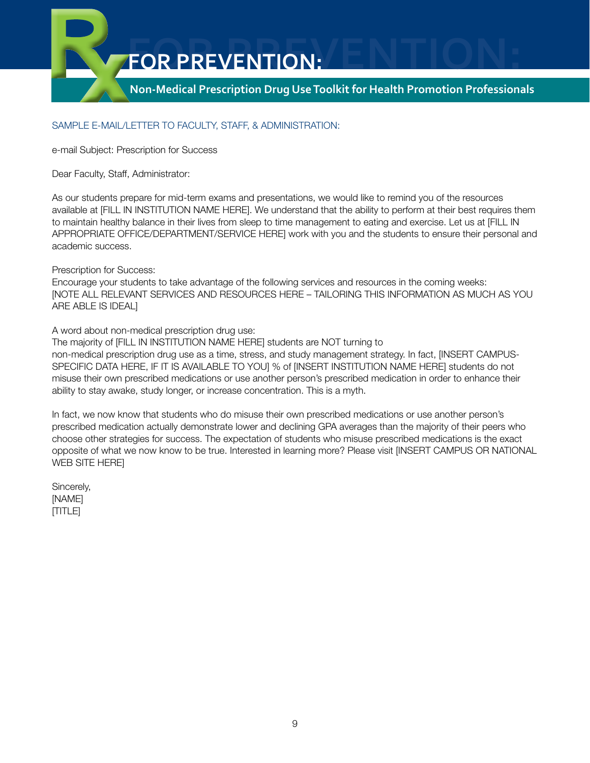

#### Sample e-mail/letter to Faculty, Staff, & Administration:

e-mail Subject: Prescription for Success

Dear Faculty, Staff, Administrator:

As our students prepare for mid-term exams and presentations, we would like to remind you of the resources available at [FILL IN INSTITUTION NAME HERE]. We understand that the ability to perform at their best requires them to maintain healthy balance in their lives from sleep to time management to eating and exercise. Let us at [FILL IN APPROPRIATE OFFICE/DEPARTMENT/SERVICE HERE] work with you and the students to ensure their personal and academic success.

Prescription for Success:

Encourage your students to take advantage of the following services and resources in the coming weeks: [NOTE ALL RELEVANT SERVICES AND RESOURCES HERE – TAILORING THIS INFORMATION AS MUCH AS YOU ARE ABLE IS IDEAL]

A word about non-medical prescription drug use:

The majority of [FILL IN INSTITUTION NAME HERE] students are NOT turning to non-medical prescription drug use as a time, stress, and study management strategy. In fact, [INSERT CAMPUS-SPECIFIC DATA HERE, IF IT IS AVAILABLE TO YOU] % of [INSERT INSTITUTION NAME HERE] students do not misuse their own prescribed medications or use another person's prescribed medication in order to enhance their ability to stay awake, study longer, or increase concentration. This is a myth.

In fact, we now know that students who do misuse their own prescribed medications or use another person's prescribed medication actually demonstrate lower and declining GPA averages than the majority of their peers who choose other strategies for success. The expectation of students who misuse prescribed medications is the exact opposite of what we now know to be true. Interested in learning more? Please visit [INSERT CAMPUS OR NATIONAL WEB SITE HERE]

Sincerely, [NAME] [TITLE]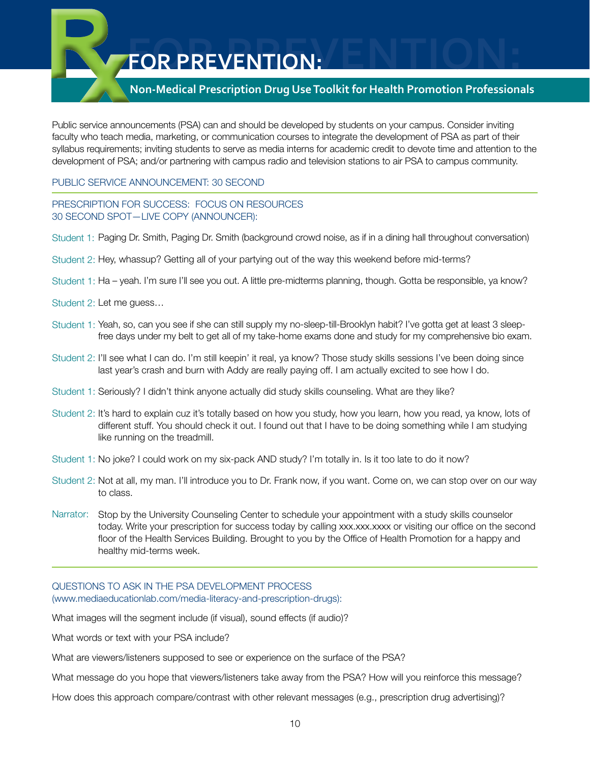# **Non-Medical Prescription Drug Use Toolkit for Health Promotion Professionals**

Public service announcements (PSA) can and should be developed by students on your campus. Consider inviting faculty who teach media, marketing, or communication courses to integrate the development of PSA as part of their syllabus requirements; inviting students to serve as media interns for academic credit to devote time and attention to the development of PSA; and/or partnering with campus radio and television stations to air PSA to campus community.

#### Public Service Announcement: 30 second

PRESCRIPTION FOR SUCCESS: FOCUS ON RESOURCES 30 SECOND SPOT—LIVE COPY (ANNOUNCER):

- Student 1: Paging Dr. Smith, Paging Dr. Smith (background crowd noise, as if in a dining hall throughout conversation)
- Student 2: Hey, whassup? Getting all of your partying out of the way this weekend before mid-terms?
- Student 1: Ha yeah. I'm sure I'll see you out. A little pre-midterms planning, though. Gotta be responsible, ya know?
- Student 2: Let me guess…
- Student 1: Yeah, so, can you see if she can still supply my no-sleep-till-Brooklyn habit? I've gotta get at least 3 sleepfree days under my belt to get all of my take-home exams done and study for my comprehensive bio exam.
- Student 2: I'll see what I can do. I'm still keepin' it real, ya know? Those study skills sessions I've been doing since last year's crash and burn with Addy are really paying off. I am actually excited to see how I do.
- Student 1: Seriously? I didn't think anyone actually did study skills counseling. What are they like?
- Student 2: It's hard to explain cuz it's totally based on how you study, how you learn, how you read, ya know, lots of different stuff. You should check it out. I found out that I have to be doing something while I am studying like running on the treadmill.
- Student 1: No joke? I could work on my six-pack AND study? I'm totally in. Is it too late to do it now?
- Student 2: Not at all, my man. I'll introduce you to Dr. Frank now, if you want. Come on, we can stop over on our way to class.
- Narrator: Stop by the University Counseling Center to schedule your appointment with a study skills counselor today. Write your prescription for success today by calling xxx.xxx.xxxx or visiting our office on the second floor of the Health Services Building. Brought to you by the Office of Health Promotion for a happy and healthy mid-terms week.

#### Questions to ask in the PSA development process (www.mediaeducationlab.com/media-literacy-and-prescription-drugs):

What images will the segment include (if visual), sound effects (if audio)?

What words or text with your PSA include?

What are viewers/listeners supposed to see or experience on the surface of the PSA?

What message do you hope that viewers/listeners take away from the PSA? How will you reinforce this message?

How does this approach compare/contrast with other relevant messages (e.g., prescription drug advertising)?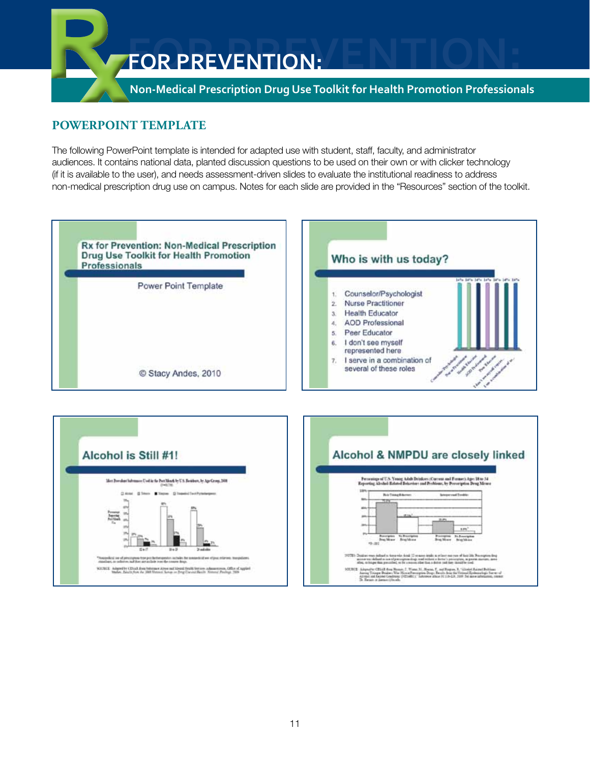

# **PowerPoint template**

The following PowerPoint template is intended for adapted use with student, staff, faculty, and administrator audiences. It contains national data, planted discussion questions to be used on their own or with clicker technology (if it is available to the user), and needs assessment-driven slides to evaluate the institutional readiness to address non-medical prescription drug use on campus. Notes for each slide are provided in the "Resources" section of the toolkit.



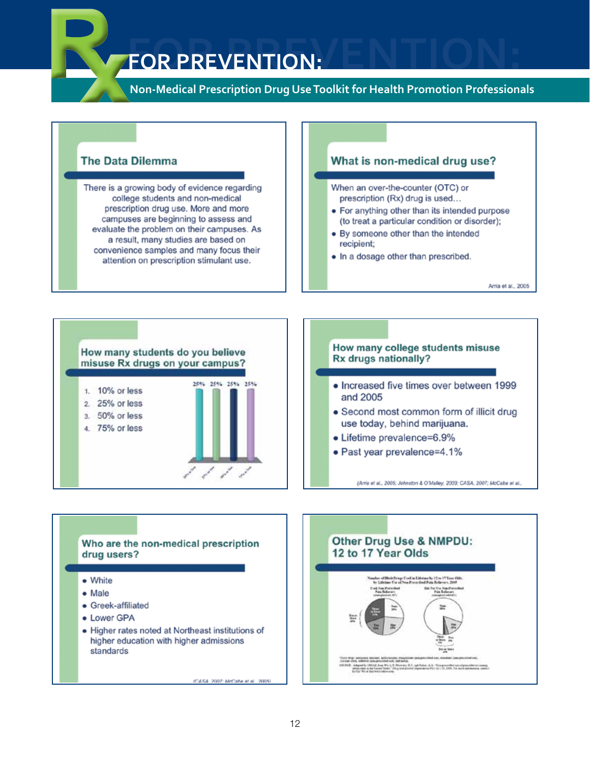# **FOR PREVENTION:**

Non-Medical Prescription Drug Use Toolkit for Health Promotion Professionals

# **The Data Dilemma**

There is a growing body of evidence regarding college students and non-medical prescription drug use. More and more campuses are beginning to assess and evaluate the problem on their campuses. As a result, many studies are based on convenience samples and many focus their attention on prescription stimulant use.

## What is non-medical drug use?

When an over-the-counter (OTC) or prescription (Rx) drug is used...

- For anything other than its intended purpose (to treat a particular condition or disorder);
- By someone other than the intended recipient;
- In a dosage other than prescribed.

Arria et al., 2005



#### How many college students misuse Rx drugs nationally?

- Increased five times over between 1999 and 2005
- Second most common form of illicit drug use today, behind marijuana.
- Lifetime prevalence=6.9%
- Past year prevalence=4.1%

(Amia et al., 2005; Johnston & O'Malley, 2003; CASA, 2007; McCabe et al.,

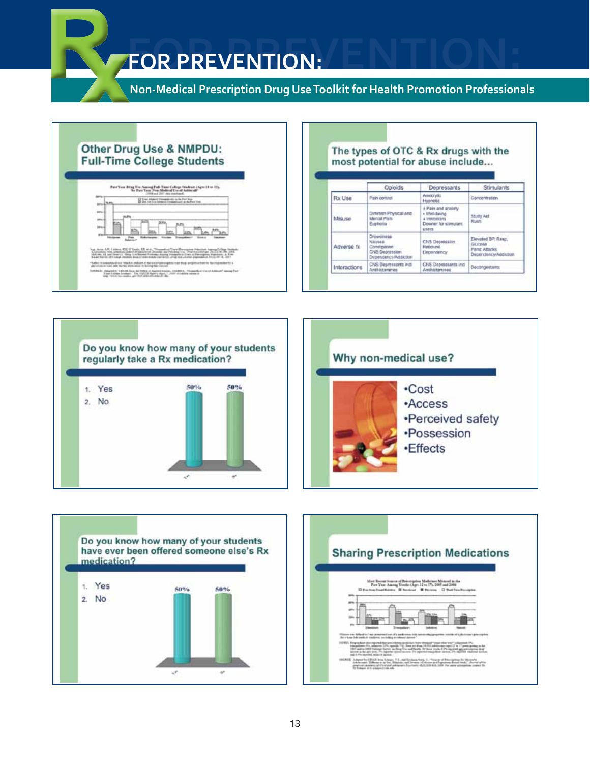**Non-Medical Prescription Drug Use Toolkit for Health Promotion Professionals**

# Other Drug Use & NMPDU: **Full-Time College Students**



#### The types of OTC & Rx drugs with the most potential for abuse include...

|              | Opioids                                                                         | Depressants                                                                                 | <b>Stimulants</b>                                                                    |
|--------------|---------------------------------------------------------------------------------|---------------------------------------------------------------------------------------------|--------------------------------------------------------------------------------------|
| Fix Use      | Pain control                                                                    | Amio/vtic<br>Hypoptic                                                                       | Concentration                                                                        |
| Miss.ron     | Diminish Physical And<br><b>Mental Pain</b><br>Euphoria                         | 4 Pain and anxiety<br>+ Well-being<br><b>INVESTIGATE:</b><br>Doaner for stimulars:<br>users | Study Act<br><b>Plush</b>                                                            |
| Adverse fx   | Drowtiness<br>Nausea.<br>Constration<br>CIVS Depression<br>Dependency/Addiction | <b>CNS Depression</b><br>Rebound<br>Dependency                                              | Elevated BP, Resp.<br><b>GRADDER</b><br><b>Paris: Asacks</b><br>Dependency/Addiction |
| Interactions | CNS Depressor#1 Ptdl<br>Anthistamines                                           | CNS Deprogramts incl.<br>Antihistamines                                                     | Decongestants                                                                        |







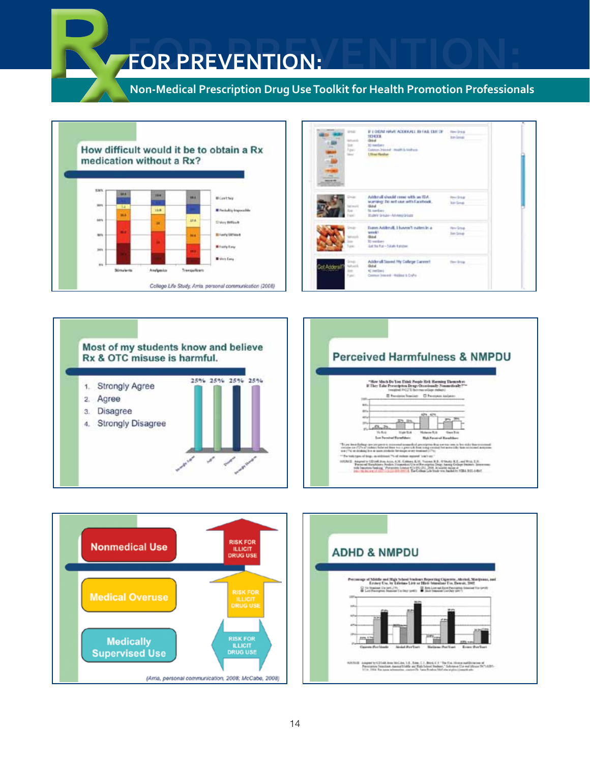**Non-Medical Prescription Drug Use Toolkit for Health Promotion Professionals**









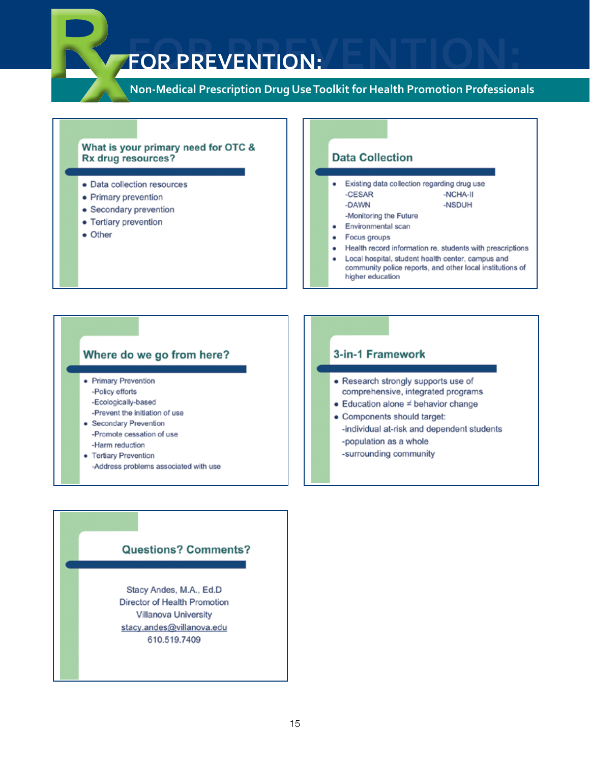# **FOR PREVENTION:**

Non-Medical Prescription Drug Use Toolkit for Health Promotion Professionals

#### What is your primary need for OTC & Rx drug resources?

- · Data collection resources
- Primary prevention
- Secondary prevention
- Tertiary prevention
- Other

#### **Data Collection**

- Existing data collection regarding drug use -NCHA-II -CESAR -DAWN -NSDUH -Monitoring the Future Environmental scan
- Focus groups
- Health record information re. students with prescriptions
- Local hospital, student health center, campus and community police reports, and other local institutions of higher education

#### Where do we go from here?

- Primary Prevention -Policy efforts -Ecologically-based
- -Prevent the initiation of use
- · Secondary Prevention -Promote cessation of use -Harm reduction
- Tertiary Prevention
	- -Address problems associated with use

#### 3-in-1 Framework

- Research strongly supports use of comprehensive, integrated programs
- $\bullet$  Education alone  $\neq$  behavior change
- Components should target:
	- -individual at-risk and dependent students
	- -population as a whole
	- -surrounding community

#### **Questions? Comments?**

Stacy Andes, M.A., Ed.D Director of Health Promotion **Villanova University** stacy.andes@villanova.edu 610.519.7409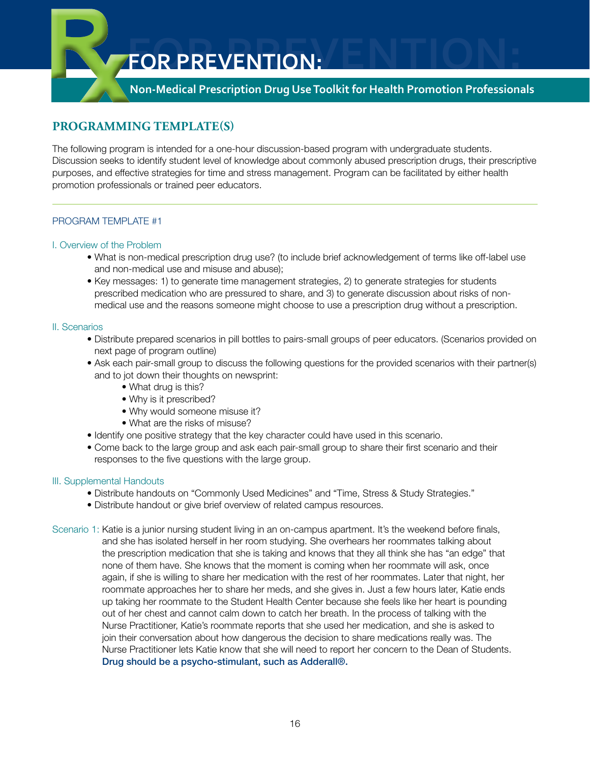**Non-Medical Prescription Drug Use Toolkit for Health Promotion Professionals**

# **Programming Template(s)**

The following program is intended for a one-hour discussion-based program with undergraduate students. Discussion seeks to identify student level of knowledge about commonly abused prescription drugs, their prescriptive purposes, and effective strategies for time and stress management. Program can be facilitated by either health promotion professionals or trained peer educators.

#### Program Template #1

#### I. Overview of the Problem

- What is non-medical prescription drug use? (to include brief acknowledgement of terms like off-label use and non-medical use and misuse and abuse);
- Key messages: 1) to generate time management strategies, 2) to generate strategies for students prescribed medication who are pressured to share, and 3) to generate discussion about risks of nonmedical use and the reasons someone might choose to use a prescription drug without a prescription.

#### II. Scenarios

- Distribute prepared scenarios in pill bottles to pairs-small groups of peer educators. (Scenarios provided on next page of program outline)
- Ask each pair-small group to discuss the following questions for the provided scenarios with their partner(s) and to jot down their thoughts on newsprint:
	- What drug is this?
	- Why is it prescribed?
	- Why would someone misuse it?
	- What are the risks of misuse?
- Identify one positive strategy that the key character could have used in this scenario.
- Come back to the large group and ask each pair-small group to share their first scenario and their responses to the five questions with the large group.

#### III. Supplemental Handouts

- Distribute handouts on "Commonly Used Medicines" and "Time, Stress & Study Strategies."
- Distribute handout or give brief overview of related campus resources.
- Scenario 1: Katie is a junior nursing student living in an on-campus apartment. It's the weekend before finals, and she has isolated herself in her room studying. She overhears her roommates talking about the prescription medication that she is taking and knows that they all think she has "an edge" that none of them have. She knows that the moment is coming when her roommate will ask, once again, if she is willing to share her medication with the rest of her roommates. Later that night, her roommate approaches her to share her meds, and she gives in. Just a few hours later, Katie ends up taking her roommate to the Student Health Center because she feels like her heart is pounding out of her chest and cannot calm down to catch her breath. In the process of talking with the Nurse Practitioner, Katie's roommate reports that she used her medication, and she is asked to join their conversation about how dangerous the decision to share medications really was. The Nurse Practitioner lets Katie know that she will need to report her concern to the Dean of Students. Drug should be a psycho-stimulant, such as Adderall®.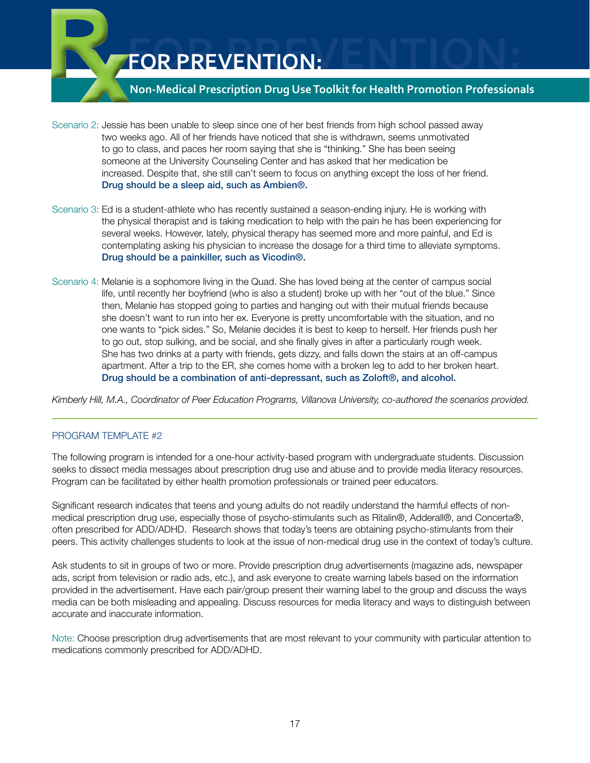# **Non-Medical Prescription Drug Use Toolkit for Health Promotion Professionals**

- Scenario 2: Jessie has been unable to sleep since one of her best friends from high school passed away two weeks ago. All of her friends have noticed that she is withdrawn, seems unmotivated to go to class, and paces her room saying that she is "thinking." She has been seeing someone at the University Counseling Center and has asked that her medication be increased. Despite that, she still can't seem to focus on anything except the loss of her friend. Drug should be a sleep aid, such as Ambien®.
- Scenario 3: Ed is a student-athlete who has recently sustained a season-ending injury. He is working with the physical therapist and is taking medication to help with the pain he has been experiencing for several weeks. However, lately, physical therapy has seemed more and more painful, and Ed is contemplating asking his physician to increase the dosage for a third time to alleviate symptoms. Drug should be a painkiller, such as Vicodin®.
- Scenario 4: Melanie is a sophomore living in the Quad. She has loved being at the center of campus social life, until recently her boyfriend (who is also a student) broke up with her "out of the blue." Since then, Melanie has stopped going to parties and hanging out with their mutual friends because she doesn't want to run into her ex. Everyone is pretty uncomfortable with the situation, and no one wants to "pick sides." So, Melanie decides it is best to keep to herself. Her friends push her to go out, stop sulking, and be social, and she finally gives in after a particularly rough week. She has two drinks at a party with friends, gets dizzy, and falls down the stairs at an off-campus apartment. After a trip to the ER, she comes home with a broken leg to add to her broken heart. Drug should be a combination of anti-depressant, such as Zoloft®, and alcohol.

*Kimberly Hill, M.A., Coordinator of Peer Education Programs, Villanova University, co-authored the scenarios provided.*

#### PROGRAM TEMPLATE #2

The following program is intended for a one-hour activity-based program with undergraduate students. Discussion seeks to dissect media messages about prescription drug use and abuse and to provide media literacy resources. Program can be facilitated by either health promotion professionals or trained peer educators.

Significant research indicates that teens and young adults do not readily understand the harmful effects of nonmedical prescription drug use, especially those of psycho-stimulants such as Ritalin®, Adderall®, and Concerta®, often prescribed for ADD/ADHD. Research shows that today's teens are obtaining psycho-stimulants from their peers. This activity challenges students to look at the issue of non-medical drug use in the context of today's culture.

Ask students to sit in groups of two or more. Provide prescription drug advertisements (magazine ads, newspaper ads, script from television or radio ads, etc.), and ask everyone to create warning labels based on the information provided in the advertisement. Have each pair/group present their warning label to the group and discuss the ways media can be both misleading and appealing. Discuss resources for media literacy and ways to distinguish between accurate and inaccurate information.

Note: Choose prescription drug advertisements that are most relevant to your community with particular attention to medications commonly prescribed for ADD/ADHD.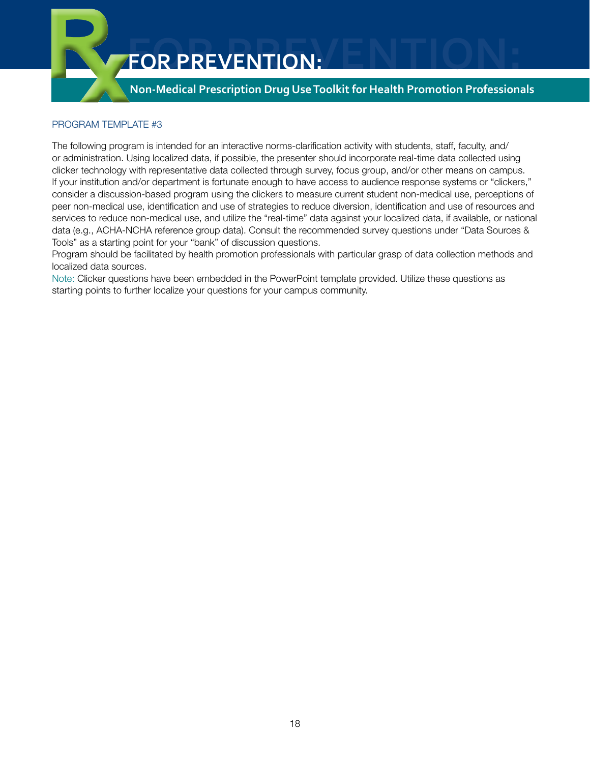

#### PROGRAM TEMPLATE #3

The following program is intended for an interactive norms-clarification activity with students, staff, faculty, and/ or administration. Using localized data, if possible, the presenter should incorporate real-time data collected using clicker technology with representative data collected through survey, focus group, and/or other means on campus. If your institution and/or department is fortunate enough to have access to audience response systems or "clickers," consider a discussion-based program using the clickers to measure current student non-medical use, perceptions of peer non-medical use, identification and use of strategies to reduce diversion, identification and use of resources and services to reduce non-medical use, and utilize the "real-time" data against your localized data, if available, or national data (e.g., ACHA-NCHA reference group data). Consult the recommended survey questions under "Data Sources & Tools" as a starting point for your "bank" of discussion questions.

Program should be facilitated by health promotion professionals with particular grasp of data collection methods and localized data sources.

Note: Clicker questions have been embedded in the PowerPoint template provided. Utilize these questions as starting points to further localize your questions for your campus community.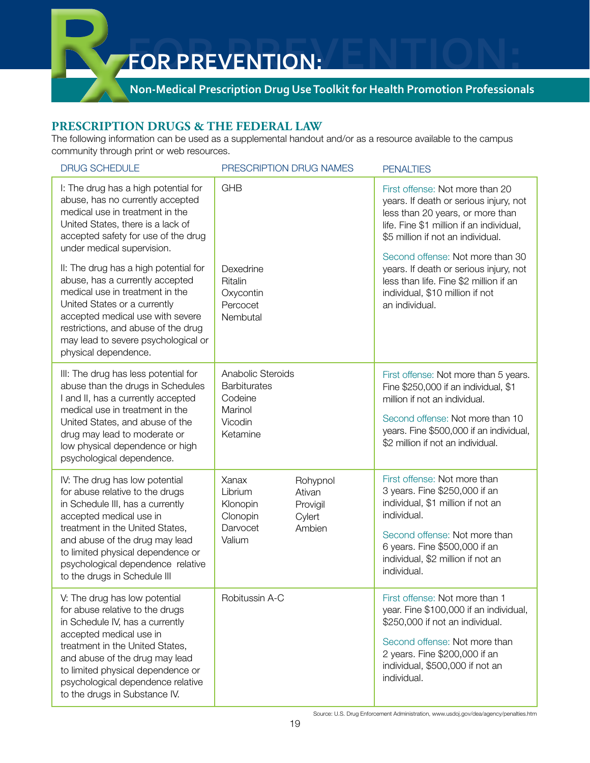# **Non-Medical Prescription Drug Use Toolkit for Health Promotion Professionals**

## **Prescription Drugs & The Federal Law**

The following information can be used as a supplemental handout and/or as a resource available to the campus community through print or web resources.

| <b>DRUG SCHEDULE</b>                                                                                                                                                                                                                                                                                            | PRESCRIPTION DRUG NAMES                                                                                              | <b>PENALTIES</b>                                                                                                                                                                                                                        |
|-----------------------------------------------------------------------------------------------------------------------------------------------------------------------------------------------------------------------------------------------------------------------------------------------------------------|----------------------------------------------------------------------------------------------------------------------|-----------------------------------------------------------------------------------------------------------------------------------------------------------------------------------------------------------------------------------------|
| I: The drug has a high potential for<br>abuse, has no currently accepted<br>medical use in treatment in the<br>United States, there is a lack of<br>accepted safety for use of the drug<br>under medical supervision.                                                                                           | <b>GHB</b>                                                                                                           | First offense: Not more than 20<br>years. If death or serious injury, not<br>less than 20 years, or more than<br>life. Fine \$1 million if an individual,<br>\$5 million if not an individual.                                          |
| II: The drug has a high potential for<br>abuse, has a currently accepted<br>medical use in treatment in the<br>United States or a currently<br>accepted medical use with severe<br>restrictions, and abuse of the drug<br>may lead to severe psychological or<br>physical dependence.                           | Dexedrine<br>Ritalin<br>Oxycontin<br>Percocet<br>Nembutal                                                            | Second offense: Not more than 30<br>years. If death or serious injury, not<br>less than life. Fine \$2 million if an<br>individual, \$10 million if not<br>an individual.                                                               |
| III: The drug has less potential for<br>abuse than the drugs in Schedules<br>I and II, has a currently accepted<br>medical use in treatment in the<br>United States, and abuse of the<br>drug may lead to moderate or<br>low physical dependence or high<br>psychological dependence.                           | Anabolic Steroids<br><b>Barbiturates</b><br>Codeine<br>Marinol<br>Vicodin<br>Ketamine                                | First offense: Not more than 5 years.<br>Fine \$250,000 if an individual, \$1<br>million if not an individual.<br>Second offense: Not more than 10<br>years. Fine \$500,000 if an individual,<br>\$2 million if not an individual.      |
| IV: The drug has low potential<br>for abuse relative to the drugs<br>in Schedule III, has a currently<br>accepted medical use in<br>treatment in the United States,<br>and abuse of the drug may lead<br>to limited physical dependence or<br>psychological dependence relative<br>to the drugs in Schedule III | Xanax<br>Rohypnol<br>Librium<br>Ativan<br>Klonopin<br>Provigil<br>Clonopin<br>Cylert<br>Darvocet<br>Ambien<br>Valium | First offense: Not more than<br>3 years. Fine \$250,000 if an<br>individual, \$1 million if not an<br>individual.<br>Second offense: Not more than<br>6 years. Fine \$500,000 if an<br>individual, \$2 million if not an<br>individual. |
| V: The drug has low potential<br>for abuse relative to the drugs<br>in Schedule IV, has a currently<br>accepted medical use in<br>treatment in the United States,<br>and abuse of the drug may lead<br>to limited physical dependence or<br>psychological dependence relative<br>to the drugs in Substance IV.  | Robitussin A-C                                                                                                       | First offense: Not more than 1<br>year. Fine \$100,000 if an individual,<br>\$250,000 if not an individual.<br>Second offense: Not more than<br>2 years. Fine \$200,000 if an<br>individual, \$500,000 if not an<br>individual.         |

Source: U.S. Drug Enforcement Administration, www.usdoj.gov/dea/agency/penalties.htm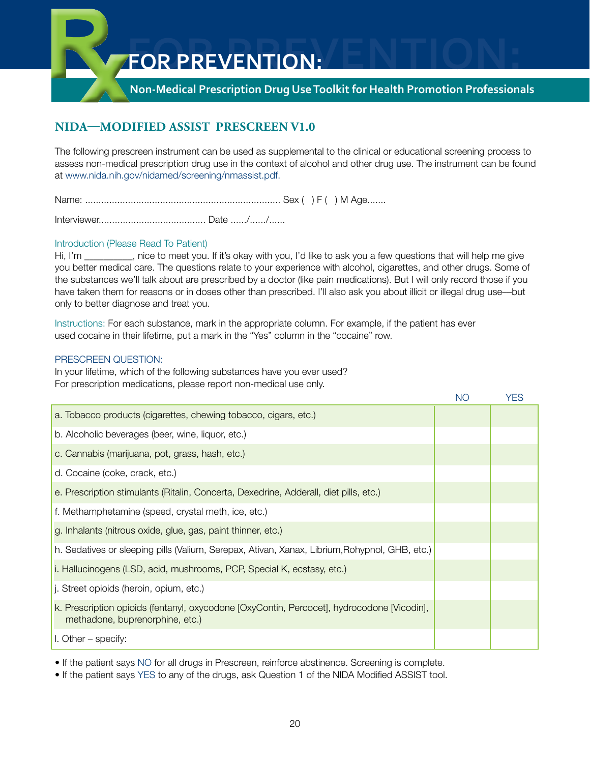## **Non-Medical Prescription Drug Use Toolkit for Health Promotion Professionals**

# **NIDA—Modified ASSIST Prescreen V1.0**

The following prescreen instrument can be used as supplemental to the clinical or educational screening process to assess non-medical prescription drug use in the context of alcohol and other drug use. The instrument can be found at www.nida.nih.gov/nidamed/screening/nmassist.pdf.

Name: ......................................................................... Sex ( ) F ( ) M Age.......

Interviewer........................................ Date ....../....../......

#### Introduction (Please Read To Patient)

Hi, I'm \_\_\_\_\_\_, nice to meet you. If it's okay with you, I'd like to ask you a few questions that will help me give you better medical care. The questions relate to your experience with alcohol, cigarettes, and other drugs. Some of the substances we'll talk about are prescribed by a doctor (like pain medications). But I will only record those if you have taken them for reasons or in doses other than prescribed. I'll also ask you about illicit or illegal drug use—but only to better diagnose and treat you.

Instructions: For each substance, mark in the appropriate column. For example, if the patient has ever used cocaine in their lifetime, put a mark in the "Yes" column in the "cocaine" row.

#### Prescreen Question:

In your lifetime, which of the following substances have you ever used? For prescription medications, please report non-medical use only.

|                                                                                                                               | <b>NO</b> | <b>YES</b> |
|-------------------------------------------------------------------------------------------------------------------------------|-----------|------------|
| a. Tobacco products (cigarettes, chewing tobacco, cigars, etc.)                                                               |           |            |
| b. Alcoholic beverages (beer, wine, liquor, etc.)                                                                             |           |            |
| c. Cannabis (marijuana, pot, grass, hash, etc.)                                                                               |           |            |
| d. Cocaine (coke, crack, etc.)                                                                                                |           |            |
| e. Prescription stimulants (Ritalin, Concerta, Dexedrine, Adderall, diet pills, etc.)                                         |           |            |
| f. Methamphetamine (speed, crystal meth, ice, etc.)                                                                           |           |            |
| g. Inhalants (nitrous oxide, glue, gas, paint thinner, etc.)                                                                  |           |            |
| h. Sedatives or sleeping pills (Valium, Serepax, Ativan, Xanax, Librium, Rohypnol, GHB, etc.)                                 |           |            |
| i. Hallucinogens (LSD, acid, mushrooms, PCP, Special K, ecstasy, etc.)                                                        |           |            |
| j. Street opioids (heroin, opium, etc.)                                                                                       |           |            |
| k. Prescription opioids (fentanyl, oxycodone [OxyContin, Percocet], hydrocodone [Vicodin],<br>methadone, buprenorphine, etc.) |           |            |
| $\blacksquare$ Other – specify:                                                                                               |           |            |

• If the patient says NO for all drugs in Prescreen, reinforce abstinence. Screening is complete.

• If the patient says YES to any of the drugs, ask Question 1 of the NIDA Modified ASSIST tool.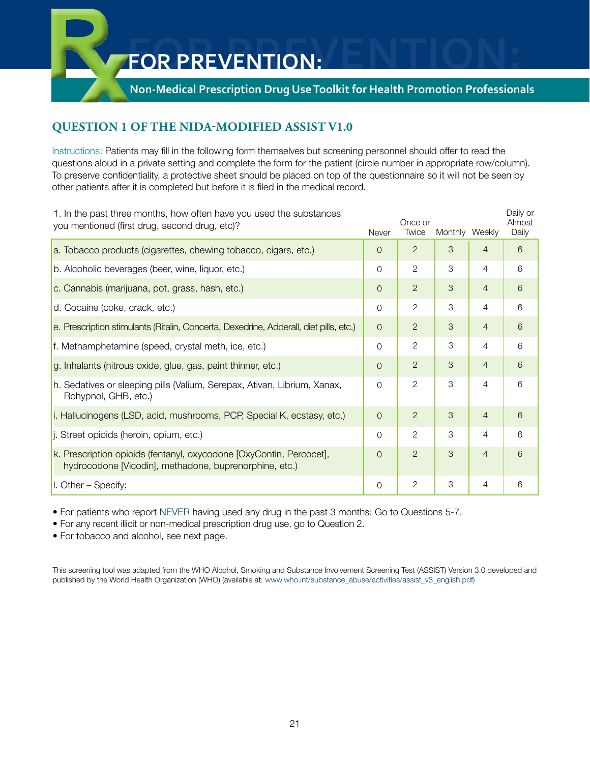# **Non-Medical Prescription Drug Use Toolkit for Health Promotion Professionals**

# **Question 1 of the NIDA-Modified ASSIST V1.0**

Instructions: Patients may fill in the following form themselves but screening personnel should offer to read the questions aloud in a private setting and complete the form for the patient (circle number in appropriate row/column). To preserve confidentiality, a protective sheet should be placed on top of the questionnaire so it will not be seen by other patients after it is completed but before it is filed in the medical record.

| 1. In the past three months, how often have you used the substances<br>you mentioned (first drug, second drug, etc)?          | Never          | Once or<br>Twice | Monthly Weekly |                | Daily or<br>Almost<br>Daily |
|-------------------------------------------------------------------------------------------------------------------------------|----------------|------------------|----------------|----------------|-----------------------------|
| a. Tobacco products (cigarettes, chewing tobacco, cigars, etc.)                                                               | $\Omega$       | $\overline{2}$   | 3              | $\overline{4}$ | 6                           |
| b. Alcoholic beverages (beer, wine, liquor, etc.)                                                                             | $\Omega$       | 2                | 3              | $\overline{4}$ | 6                           |
| c. Cannabis (marijuana, pot, grass, hash, etc.)                                                                               | $\Omega$       | $\overline{2}$   | 3              | $\overline{4}$ | 6                           |
| d. Cocaine (coke, crack, etc.)                                                                                                | $\Omega$       | $\overline{2}$   | 3              | $\overline{4}$ | 6                           |
| e. Prescription stimulants (Ritalin, Concerta, Dexedrine, Adderall, diet pills, etc.)                                         | $\Omega$       | $\overline{2}$   | 3              | $\overline{4}$ | 6                           |
| f. Methamphetamine (speed, crystal meth, ice, etc.)                                                                           | $\Omega$       | 2                | 3              | $\overline{4}$ | 6                           |
| g. Inhalants (nitrous oxide, glue, gas, paint thinner, etc.)                                                                  | $\overline{0}$ | $\overline{2}$   | 3              | $\overline{4}$ | 6                           |
| h. Sedatives or sleeping pills (Valium, Serepax, Ativan, Librium, Xanax,<br>Rohypnol, GHB, etc.)                              | $\Omega$       | $\overline{2}$   | 3              | 4              | 6                           |
| i. Hallucinogens (LSD, acid, mushrooms, PCP, Special K, ecstasy, etc.)                                                        | $\Omega$       | $\overline{2}$   | 3              | $\overline{4}$ | 6                           |
| j. Street opioids (heroin, opium, etc.)                                                                                       | $\Omega$       | $\overline{2}$   | 3              | 4              | 6                           |
| k. Prescription opioids (fentanyl, oxycodone [OxyContin, Percocet],<br>hydrocodone [Vicodin], methadone, buprenorphine, etc.) | $\Omega$       | $\overline{2}$   | 3              | $\overline{4}$ | 6                           |
| $\vert$ l. Other – Specify:                                                                                                   | $\Omega$       | 2                | 3              | 4              | 6                           |

• For patients who report NEVER having used any drug in the past 3 months: Go to Questions 5-7.

• For any recent illicit or non-medical prescription drug use, go to Question 2.

• For tobacco and alcohol, see next page.

This screening tool was adapted from the WHO Alcohol, Smoking and Substance Involvement Screening Test (ASSIST) Version 3.0 developed and published by the World Health Organization (WHO) (available at: www.who.int/substance\_abuse/activities/assist\_v3\_english.pdf)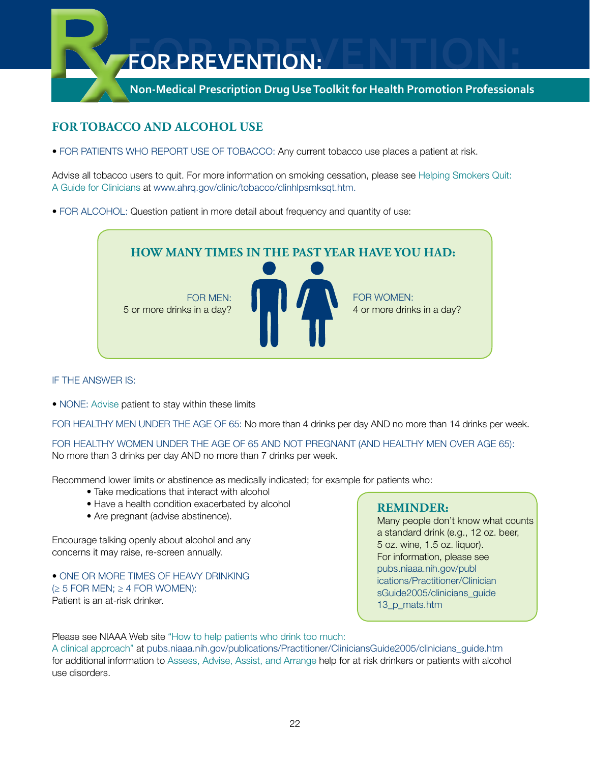

# **For Tobacco and Alcohol Use**

• FOR PATIENTS WHO REPORT USE OF TOBACCO: Any current tobacco use places a patient at risk.

Advise all tobacco users to quit. For more information on smoking cessation, please see Helping Smokers Quit: A Guide for Clinicians at www.ahrq.gov/clinic/tobacco/clinhlpsmksqt.htm.

• FOR ALCOHOL: Question patient in more detail about frequency and quantity of use:



#### If the answer is:

• NONE: Advise patient to stay within these limits

FOR HEALTHY MEN UNDER THE AGE OF 65: No more than 4 drinks per day AND no more than 14 drinks per week.

For healthy women under the age of 65 and not pregnant (and healthy men over age 65): No more than 3 drinks per day AND no more than 7 drinks per week.

Recommend lower limits or abstinence as medically indicated; for example for patients who:

- Take medications that interact with alcohol
- Have a health condition exacerbated by alcohol
- Are pregnant (advise abstinence).

Encourage talking openly about alcohol and any concerns it may raise, re-screen annually.

• ONE OR MORE TIMES OF HEAVY DRINKING  $(\geq 5$  FOR MEN;  $\geq 4$  FOR WOMEN): Patient is an at-risk drinker.

## **Reminder:**

Many people don't know what counts a standard drink (e.g., 12 oz. beer, 5 oz. wine, 1.5 oz. liquor). For information, please see pubs.niaaa.nih.gov/publ ications/Practitioner/Clinician sGuide2005/clinicians\_guide 13 p mats.htm

Please see NIAAA Web site "How to help patients who drink too much:

A clinical approach" at pubs.niaaa.nih.gov/publications/Practitioner/CliniciansGuide2005/clinicians\_guide.htm for additional information to Assess, Advise, Assist, and Arrange help for at risk drinkers or patients with alcohol use disorders.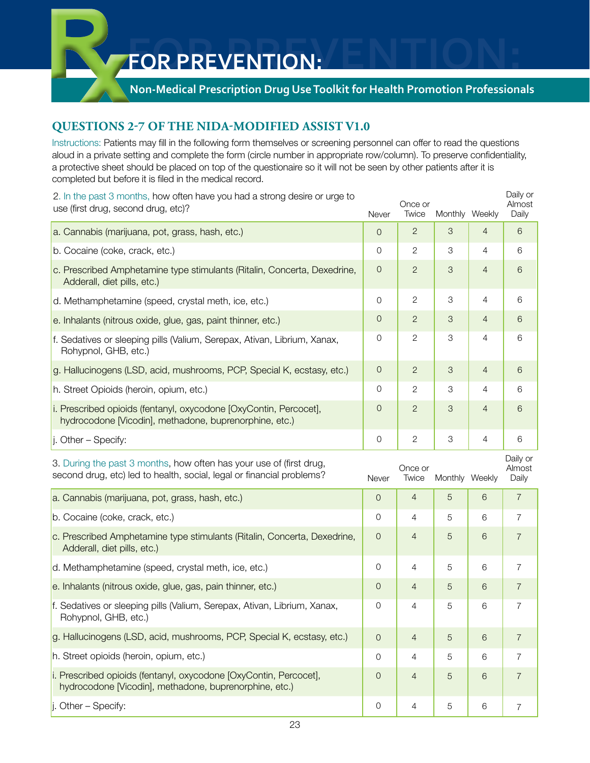# **Non-Medical Prescription Drug Use Toolkit for Health Promotion Professionals**

# **Questions 2-7 of the NIDA-Modified ASSIST V1.0**

Instructions: Patients may fill in the following form themselves or screening personnel can offer to read the questions aloud in a private setting and complete the form (circle number in appropriate row/column). To preserve confidentiality, a protective sheet should be placed on top of the questionaire so it will not be seen by other patients after it is completed but before it is filed in the medical record.

| 2. In the past 3 months, how often have you had a strong desire or urge to<br>use (first drug, second drug, etc)?                            | Never               | Once or<br>Twice | Monthly Weekly            |                | Daily or<br>Almost<br>Daily |
|----------------------------------------------------------------------------------------------------------------------------------------------|---------------------|------------------|---------------------------|----------------|-----------------------------|
| a. Cannabis (marijuana, pot, grass, hash, etc.)                                                                                              | $\overline{O}$      | $\overline{2}$   | $\mathcal{S}$             | $\overline{4}$ | 6                           |
| b. Cocaine (coke, crack, etc.)                                                                                                               | 0                   | $\mathbf{2}$     | $\ensuremath{\mathsf{3}}$ | $\overline{4}$ | 6                           |
| c. Prescribed Amphetamine type stimulants (Ritalin, Concerta, Dexedrine,<br>Adderall, diet pills, etc.)                                      | $\mathbf 0$         | $\overline{2}$   | 3                         | $\overline{4}$ | 6                           |
| d. Methamphetamine (speed, crystal meth, ice, etc.)                                                                                          | $\mathsf{O}\xspace$ | $\sqrt{2}$       | $\ensuremath{\mathsf{3}}$ | $\overline{4}$ | 6                           |
| e. Inhalants (nitrous oxide, glue, gas, paint thinner, etc.)                                                                                 | $\theta$            | $\overline{2}$   | $\mathcal{S}$             | $\overline{4}$ | 6                           |
| f. Sedatives or sleeping pills (Valium, Serepax, Ativan, Librium, Xanax,<br>Rohypnol, GHB, etc.)                                             | 0                   | $\overline{c}$   | $\ensuremath{\mathsf{3}}$ | $\overline{4}$ | 6                           |
| g. Hallucinogens (LSD, acid, mushrooms, PCP, Special K, ecstasy, etc.)                                                                       | $\theta$            | $\overline{2}$   | $\mathcal{S}$             | $\overline{4}$ | 6                           |
| h. Street Opioids (heroin, opium, etc.)                                                                                                      | 0                   | $\overline{c}$   | $\ensuremath{\mathsf{3}}$ | $\overline{4}$ | 6                           |
| i. Prescribed opioids (fentanyl, oxycodone [OxyContin, Percocet],<br>hydrocodone [Vicodin], methadone, buprenorphine, etc.)                  | $\mathbf 0$         | $\overline{2}$   | $\mathcal{S}$             | $\overline{4}$ | 6                           |
| $\vert$ j. Other – Specify:                                                                                                                  | $\mathsf{O}\xspace$ | $\overline{c}$   | $\ensuremath{\mathsf{3}}$ | $\overline{4}$ | 6                           |
|                                                                                                                                              |                     |                  |                           |                |                             |
| 3. During the past 3 months, how often has your use of (first drug,<br>second drug, etc) led to health, social, legal or financial problems? | Never               | Once or<br>Twice | Monthly Weekly            |                | Daily or<br>Almost<br>Daily |
| a. Cannabis (marijuana, pot, grass, hash, etc.)                                                                                              | $\mathsf{O}\xspace$ | $\overline{4}$   | 5                         | 6              | $\overline{7}$              |
| b. Cocaine (coke, crack, etc.)                                                                                                               | 0                   | $\overline{4}$   | 5                         | 6              | $\overline{7}$              |
| c. Prescribed Amphetamine type stimulants (Ritalin, Concerta, Dexedrine,<br>Adderall, diet pills, etc.)                                      | 0                   | $\overline{4}$   | 5                         | 6              | $\overline{7}$              |
| d. Methamphetamine (speed, crystal meth, ice, etc.)                                                                                          | $\mathsf{O}\xspace$ | 4                | 5                         | 6              | $\overline{7}$              |
| e. Inhalants (nitrous oxide, glue, gas, pain thinner, etc.)                                                                                  | $\mathsf{O}\xspace$ | $\overline{4}$   | 5                         | 6              | $\overline{7}$              |
| f. Sedatives or sleeping pills (Valium, Serepax, Ativan, Librium, Xanax,<br>Rohypnol, GHB, etc.)                                             | 0                   | 4                | 5                         | 6              | 7                           |
| g. Hallucinogens (LSD, acid, mushrooms, PCP, Special K, ecstasy, etc.)                                                                       | $\mathsf{O}\xspace$ | $\overline{4}$   | 5                         | 6              | $\overline{7}$              |
| h. Street opioids (heroin, opium, etc.)                                                                                                      | $\mathsf{O}$        | $\overline{4}$   | 5                         | 6              | $\overline{7}$              |
| i. Prescribed opioids (fentanyl, oxycodone [OxyContin, Percocet],<br>hydrocodone [Vicodin], methadone, buprenorphine, etc.)                  | $\overline{0}$      | $\overline{4}$   | 5                         | 6              | $\overline{7}$              |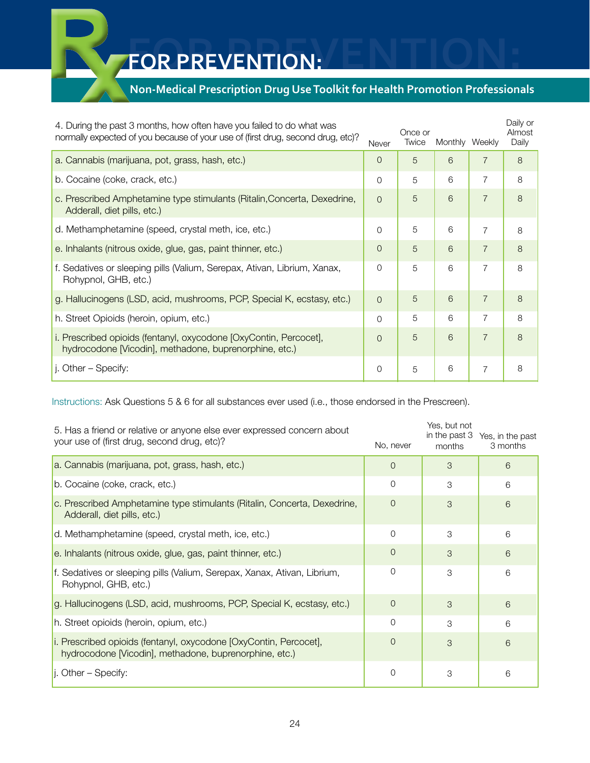# **Non-Medical Prescription Drug Use Toolkit for Health Promotion Professionals**

| 4. During the past 3 months, how often have you failed to do what was<br>normally expected of you because of your use of (first drug, second drug, etc)? | Never          | Once or<br>Twice | Monthly Weekly |                | Daily or<br>Almost<br>Daily |
|----------------------------------------------------------------------------------------------------------------------------------------------------------|----------------|------------------|----------------|----------------|-----------------------------|
| a. Cannabis (marijuana, pot, grass, hash, etc.)                                                                                                          | $\Omega$       | 5                | 6              | $\overline{7}$ | 8                           |
| b. Cocaine (coke, crack, etc.)                                                                                                                           | $\Omega$       | 5                | 6              | $\overline{7}$ | 8                           |
| c. Prescribed Amphetamine type stimulants (Ritalin, Concerta, Dexedrine,<br>Adderall, diet pills, etc.)                                                  | $\Omega$       | 5                | 6              | $\overline{7}$ | 8                           |
| d. Methamphetamine (speed, crystal meth, ice, etc.)                                                                                                      | $\Omega$       | 5                | 6              | $\overline{7}$ | 8                           |
| e. Inhalants (nitrous oxide, glue, gas, paint thinner, etc.)                                                                                             | $\overline{0}$ | 5                | 6              | $\overline{7}$ | 8                           |
| f. Sedatives or sleeping pills (Valium, Serepax, Ativan, Librium, Xanax,<br>Rohypnol, GHB, etc.)                                                         | $\Omega$       | 5                | 6              | $\overline{7}$ | 8                           |
| g. Hallucinogens (LSD, acid, mushrooms, PCP, Special K, ecstasy, etc.)                                                                                   | $\Omega$       | 5                | 6              | $\overline{7}$ | 8                           |
| h. Street Opioids (heroin, opium, etc.)                                                                                                                  | $\Omega$       | 5                | 6              |                | 8                           |
| i. Prescribed opioids (fentanyl, oxycodone [OxyContin, Percocet],<br>hydrocodone [Vicodin], methadone, buprenorphine, etc.)                              | $\Omega$       | 5                | 6              | $\overline{7}$ | 8                           |
| j. Other – Specify:                                                                                                                                      | 0              | 5                | 6              | $\overline{7}$ | 8                           |

Instructions: Ask Questions 5 & 6 for all substances ever used (i.e., those endorsed in the Prescreen).

| 5. Has a friend or relative or anyone else ever expressed concern about<br>your use of (first drug, second drug, etc)?      | No, never      | Yes, but not<br>in the past 3<br>months | Yes, in the past<br>3 months |
|-----------------------------------------------------------------------------------------------------------------------------|----------------|-----------------------------------------|------------------------------|
| a. Cannabis (marijuana, pot, grass, hash, etc.)                                                                             | $\Omega$       | 3                                       | 6                            |
| b. Cocaine (coke, crack, etc.)                                                                                              | 0              | 3                                       | 6                            |
| c. Prescribed Amphetamine type stimulants (Ritalin, Concerta, Dexedrine,<br>Adderall, diet pills, etc.)                     | $\Omega$       | 3                                       | 6                            |
| d. Methamphetamine (speed, crystal meth, ice, etc.)                                                                         | $\mathcal{O}$  | 3                                       | 6                            |
| e. Inhalants (nitrous oxide, glue, gas, paint thinner, etc.)                                                                | $\Omega$       | 3                                       | 6                            |
| f. Sedatives or sleeping pills (Valium, Serepax, Xanax, Ativan, Librium,<br>Rohypnol, GHB, etc.)                            | 0              | 3                                       | 6                            |
| g. Hallucinogens (LSD, acid, mushrooms, PCP, Special K, ecstasy, etc.)                                                      | $\overline{0}$ | 3                                       | 6                            |
| h. Street opioids (heroin, opium, etc.)                                                                                     | $\Omega$       | 3                                       | 6                            |
| i. Prescribed opioids (fentanyl, oxycodone [OxyContin, Percocet],<br>hydrocodone [Vicodin], methadone, buprenorphine, etc.) | $\overline{0}$ | 3                                       | 6                            |
| $\vert$ . Other – Specify:                                                                                                  | $\mathcal{O}$  | 3                                       | 6                            |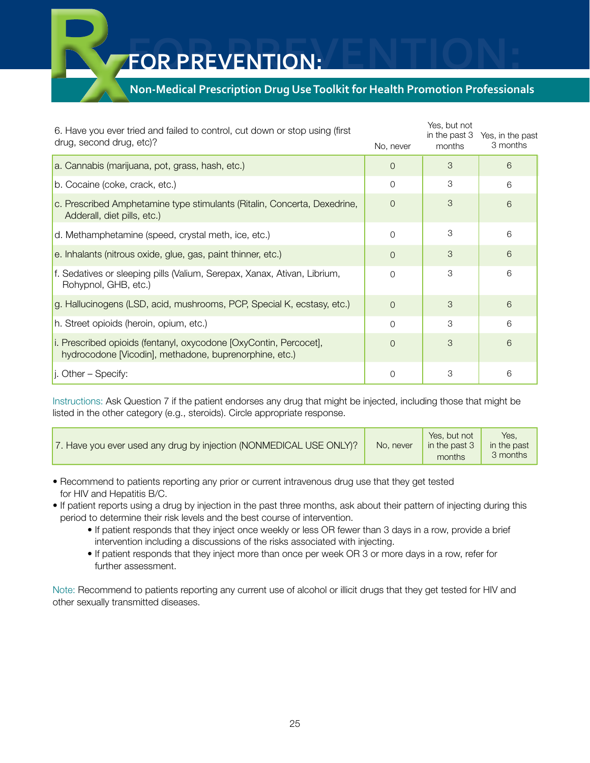# **Non-Medical Prescription Drug Use Toolkit for Health Promotion Professionals**

| 6. Have you ever tried and failed to control, cut down or stop using (first<br>drug, second drug, etc)?                     | No, never      | Yes, but not<br>in the past 3<br>months | Yes, in the past<br>3 months |
|-----------------------------------------------------------------------------------------------------------------------------|----------------|-----------------------------------------|------------------------------|
| a. Cannabis (marijuana, pot, grass, hash, etc.)                                                                             | $\overline{0}$ | 3                                       | 6                            |
| b. Cocaine (coke, crack, etc.)                                                                                              | $\Omega$       | 3                                       | 6                            |
| c. Prescribed Amphetamine type stimulants (Ritalin, Concerta, Dexedrine,<br>Adderall, diet pills, etc.)                     | $\overline{O}$ | 3                                       | 6                            |
| d. Methamphetamine (speed, crystal meth, ice, etc.)                                                                         | $\Omega$       | 3                                       | 6                            |
| e. Inhalants (nitrous oxide, glue, gas, paint thinner, etc.)                                                                | $\Omega$       | 3                                       | 6                            |
| f. Sedatives or sleeping pills (Valium, Serepax, Xanax, Ativan, Librium,<br>Rohypnol, GHB, etc.)                            | 0              | 3                                       | 6                            |
| g. Hallucinogens (LSD, acid, mushrooms, PCP, Special K, ecstasy, etc.)                                                      | $\Omega$       | 3                                       | 6                            |
| h. Street opioids (heroin, opium, etc.)                                                                                     | $\Omega$       | 3                                       | 6                            |
| i. Prescribed opioids (fentanyl, oxycodone [OxyContin, Percocet],<br>hydrocodone [Vicodin], methadone, buprenorphine, etc.) | $\Omega$       | 3                                       | 6                            |
| $\vert$ . Other – Specify:                                                                                                  | $\mathbf 0$    | 3                                       | 6                            |

Instructions: Ask Question 7 if the patient endorses any drug that might be injected, including those that might be listed in the other category (e.g., steroids). Circle appropriate response.

| 17. Have you ever used any drug by injection (NONMEDICAL USE ONLY)? | No. never | Yes, but not<br>in the past 3<br>months | Yes.<br>in the past<br>3 months |
|---------------------------------------------------------------------|-----------|-----------------------------------------|---------------------------------|
|---------------------------------------------------------------------|-----------|-----------------------------------------|---------------------------------|

- Recommend to patients reporting any prior or current intravenous drug use that they get tested for HIV and Hepatitis B/C.
- If patient reports using a drug by injection in the past three months, ask about their pattern of injecting during this period to determine their risk levels and the best course of intervention.
	- If patient responds that they inject once weekly or less OR fewer than 3 days in a row, provide a brief intervention including a discussions of the risks associated with injecting.
	- If patient responds that they inject more than once per week OR 3 or more days in a row, refer for further assessment.

Note: Recommend to patients reporting any current use of alcohol or illicit drugs that they get tested for HIV and other sexually transmitted diseases.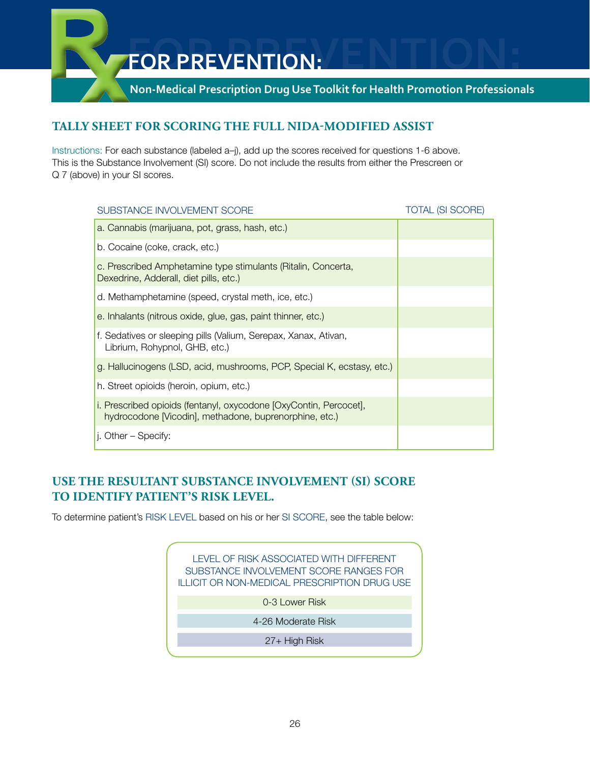**Non-Medical Prescription Drug Use Toolkit for Health Promotion Professionals**

# **Tally Sheet for scoring the full NIDA-Modified ASSIST**

Instructions: For each substance (labeled a–j), add up the scores received for questions 1-6 above. This is the Substance Involvement (SI) score. Do not include the results from either the Prescreen or Q 7 (above) in your SI scores.

| SUBSTANCE INVOLVEMENT SCORE                                                                                                 | <b>TOTAL (SI SCORE)</b> |
|-----------------------------------------------------------------------------------------------------------------------------|-------------------------|
| a. Cannabis (marijuana, pot, grass, hash, etc.)                                                                             |                         |
| b. Cocaine (coke, crack, etc.)                                                                                              |                         |
| c. Prescribed Amphetamine type stimulants (Ritalin, Concerta,<br>Dexedrine, Adderall, diet pills, etc.)                     |                         |
| d. Methamphetamine (speed, crystal meth, ice, etc.)                                                                         |                         |
| e. Inhalants (nitrous oxide, glue, gas, paint thinner, etc.)                                                                |                         |
| f. Sedatives or sleeping pills (Valium, Serepax, Xanax, Ativan,<br>Librium, Rohypnol, GHB, etc.)                            |                         |
| g. Hallucinogens (LSD, acid, mushrooms, PCP, Special K, ecstasy, etc.)                                                      |                         |
| h. Street opioids (heroin, opium, etc.)                                                                                     |                         |
| i. Prescribed opioids (fentanyl, oxycodone [OxyContin, Percocet],<br>hydrocodone [Vicodin], methadone, buprenorphine, etc.) |                         |
| j. Other – Specify:                                                                                                         |                         |

# **Use the resultant Substance Involvement (SI) Score to identify patient's risk level.**

To determine patient's RISK LEVEL based on his or her SI SCORE, see the table below:

Level of risk associated with different Substance Involvement Score ranges for Illicit or non-medical prescription drug use

0-3 Lower Risk

4-26 Moderate Risk

27+ High Risk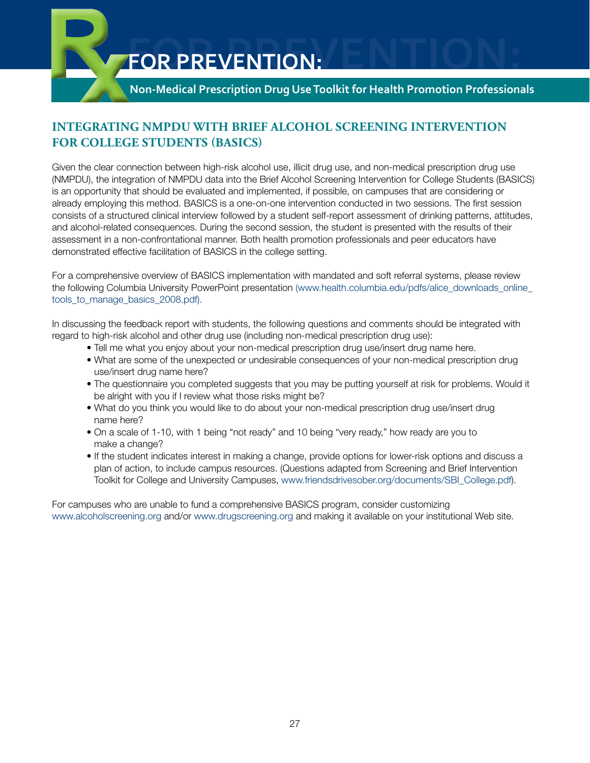

**Non-Medical Prescription Drug Use Toolkit for Health Promotion Professionals**

# **Integrating NMPDU with Brief Alcohol Screening Intervention for College Students (BASICS)**

Given the clear connection between high-risk alcohol use, illicit drug use, and non-medical prescription drug use (NMPDU), the integration of NMPDU data into the Brief Alcohol Screening Intervention for College Students (BASICS) is an opportunity that should be evaluated and implemented, if possible, on campuses that are considering or already employing this method. BASICS is a one-on-one intervention conducted in two sessions. The first session consists of a structured clinical interview followed by a student self-report assessment of drinking patterns, attitudes, and alcohol-related consequences. During the second session, the student is presented with the results of their assessment in a non-confrontational manner. Both health promotion professionals and peer educators have demonstrated effective facilitation of BASICS in the college setting.

For a comprehensive overview of BASICS implementation with mandated and soft referral systems, please review the following Columbia University PowerPoint presentation (www.health.columbia.edu/pdfs/alice\_downloads\_online tools to manage basics 2008.pdf).

In discussing the feedback report with students, the following questions and comments should be integrated with regard to high-risk alcohol and other drug use (including non-medical prescription drug use):

- Tell me what you enjoy about your non-medical prescription drug use/insert drug name here.
- What are some of the unexpected or undesirable consequences of your non-medical prescription drug use/insert drug name here?
- The questionnaire you completed suggests that you may be putting yourself at risk for problems. Would it be alright with you if I review what those risks might be?
- What do you think you would like to do about your non-medical prescription drug use/insert drug name here?
- On a scale of 1-10, with 1 being "not ready" and 10 being "very ready," how ready are you to make a change?
- If the student indicates interest in making a change, provide options for lower-risk options and discuss a plan of action, to include campus resources. (Questions adapted from Screening and Brief Intervention Toolkit for College and University Campuses, www.friendsdrivesober.org/documents/SBI\_College.pdf).

For campuses who are unable to fund a comprehensive BASICS program, consider customizing www.alcoholscreening.org and/or www.drugscreening.org and making it available on your institutional Web site.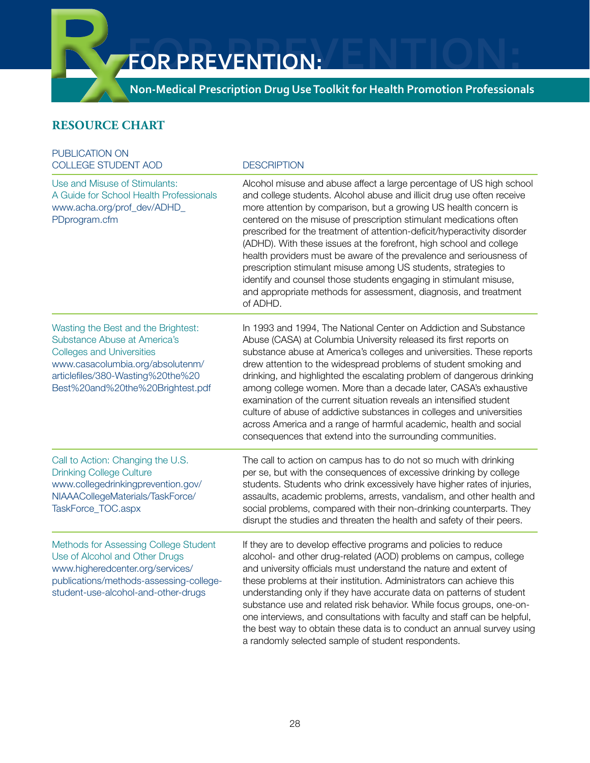**Non-Medical Prescription Drug Use Toolkit for Health Promotion Professionals**

# **Resource Chart**

| PUBLICATION ON<br><b>COLLEGE STUDENT AOD</b>                                                                                                                                                                         | <b>DESCRIPTION</b>                                                                                                                                                                                                                                                                                                                                                                                                                                                                                                                                                                                                                                                                                                                        |  |  |
|----------------------------------------------------------------------------------------------------------------------------------------------------------------------------------------------------------------------|-------------------------------------------------------------------------------------------------------------------------------------------------------------------------------------------------------------------------------------------------------------------------------------------------------------------------------------------------------------------------------------------------------------------------------------------------------------------------------------------------------------------------------------------------------------------------------------------------------------------------------------------------------------------------------------------------------------------------------------------|--|--|
| Use and Misuse of Stimulants:<br>A Guide for School Health Professionals<br>www.acha.org/prof_dev/ADHD_<br>PDprogram.cfm                                                                                             | Alcohol misuse and abuse affect a large percentage of US high school<br>and college students. Alcohol abuse and illicit drug use often receive<br>more attention by comparison, but a growing US health concern is<br>centered on the misuse of prescription stimulant medications often<br>prescribed for the treatment of attention-deficit/hyperactivity disorder<br>(ADHD). With these issues at the forefront, high school and college<br>health providers must be aware of the prevalence and seriousness of<br>prescription stimulant misuse among US students, strategies to<br>identify and counsel those students engaging in stimulant misuse,<br>and appropriate methods for assessment, diagnosis, and treatment<br>of ADHD. |  |  |
| Wasting the Best and the Brightest:<br>Substance Abuse at America's<br><b>Colleges and Universities</b><br>www.casacolumbia.org/absolutenm/<br>articlefiles/380-Wasting%20the%20<br>Best%20and%20the%20Brightest.pdf | In 1993 and 1994, The National Center on Addiction and Substance<br>Abuse (CASA) at Columbia University released its first reports on<br>substance abuse at America's colleges and universities. These reports<br>drew attention to the widespread problems of student smoking and<br>drinking, and highlighted the escalating problem of dangerous drinking<br>among college women. More than a decade later, CASA's exhaustive<br>examination of the current situation reveals an intensified student<br>culture of abuse of addictive substances in colleges and universities<br>across America and a range of harmful academic, health and social<br>consequences that extend into the surrounding communities.                       |  |  |
| Call to Action: Changing the U.S.<br><b>Drinking College Culture</b><br>www.collegedrinkingprevention.gov/<br>NIAAACollegeMaterials/TaskForce/<br>TaskForce_TOC.aspx                                                 | The call to action on campus has to do not so much with drinking<br>per se, but with the consequences of excessive drinking by college<br>students. Students who drink excessively have higher rates of injuries,<br>assaults, academic problems, arrests, vandalism, and other health and<br>social problems, compared with their non-drinking counterparts. They<br>disrupt the studies and threaten the health and safety of their peers.                                                                                                                                                                                                                                                                                              |  |  |
| Methods for Assessing College Student<br>Use of Alcohol and Other Drugs<br>www.higheredcenter.org/services/<br>publications/methods-assessing-college-<br>student-use-alcohol-and-other-drugs                        | If they are to develop effective programs and policies to reduce<br>alcohol- and other drug-related (AOD) problems on campus, college<br>and university officials must understand the nature and extent of<br>these problems at their institution. Administrators can achieve this<br>understanding only if they have accurate data on patterns of student<br>substance use and related risk behavior. While focus groups, one-on-<br>one interviews, and consultations with faculty and staff can be helpful,<br>the best way to obtain these data is to conduct an annual survey using<br>a randomly selected sample of student respondents.                                                                                            |  |  |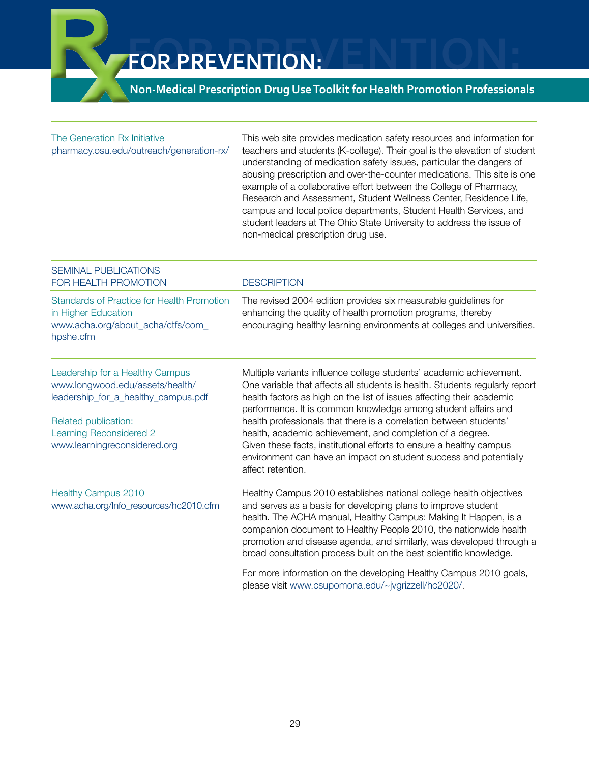# **Non-Medical Prescription Drug Use Toolkit for Health Promotion Professionals**

| The Generation Rx Initiative<br>pharmacy.osu.edu/outreach/generation-rx/                                                                                                                     | This web site provides medication safety resources and information for<br>teachers and students (K-college). Their goal is the elevation of student<br>understanding of medication safety issues, particular the dangers of<br>abusing prescription and over-the-counter medications. This site is one<br>example of a collaborative effort between the College of Pharmacy,<br>Research and Assessment, Student Wellness Center, Residence Life,<br>campus and local police departments, Student Health Services, and<br>student leaders at The Ohio State University to address the issue of<br>non-medical prescription drug use. |  |  |  |
|----------------------------------------------------------------------------------------------------------------------------------------------------------------------------------------------|--------------------------------------------------------------------------------------------------------------------------------------------------------------------------------------------------------------------------------------------------------------------------------------------------------------------------------------------------------------------------------------------------------------------------------------------------------------------------------------------------------------------------------------------------------------------------------------------------------------------------------------|--|--|--|
| <b>SEMINAL PUBLICATIONS</b><br>FOR HEALTH PROMOTION                                                                                                                                          | <b>DESCRIPTION</b>                                                                                                                                                                                                                                                                                                                                                                                                                                                                                                                                                                                                                   |  |  |  |
| <b>Standards of Practice for Health Promotion</b><br>in Higher Education<br>www.acha.org/about_acha/ctfs/com_<br>hpshe.cfm                                                                   | The revised 2004 edition provides six measurable guidelines for<br>enhancing the quality of health promotion programs, thereby<br>encouraging healthy learning environments at colleges and universities.                                                                                                                                                                                                                                                                                                                                                                                                                            |  |  |  |
| Leadership for a Healthy Campus<br>www.longwood.edu/assets/health/<br>leadership_for_a_healthy_campus.pdf<br>Related publication:<br>Learning Reconsidered 2<br>www.learningreconsidered.org | Multiple variants influence college students' academic achievement.<br>One variable that affects all students is health. Students regularly report<br>health factors as high on the list of issues affecting their academic<br>performance. It is common knowledge among student affairs and<br>health professionals that there is a correlation between students'<br>health, academic achievement, and completion of a degree.<br>Given these facts, institutional efforts to ensure a healthy campus<br>environment can have an impact on student success and potentially<br>affect retention.                                     |  |  |  |
| <b>Healthy Campus 2010</b><br>www.acha.org/Info_resources/hc2010.cfm                                                                                                                         | Healthy Campus 2010 establishes national college health objectives<br>and serves as a basis for developing plans to improve student<br>health. The ACHA manual, Healthy Campus: Making It Happen, is a<br>companion document to Healthy People 2010, the nationwide health<br>promotion and disease agenda, and similarly, was developed through a<br>broad consultation process built on the best scientific knowledge.                                                                                                                                                                                                             |  |  |  |
|                                                                                                                                                                                              | For more information on the developing Healthy Campus 2010 goals,<br>please visit www.csupomona.edu/~jvgrizzell/hc2020/.                                                                                                                                                                                                                                                                                                                                                                                                                                                                                                             |  |  |  |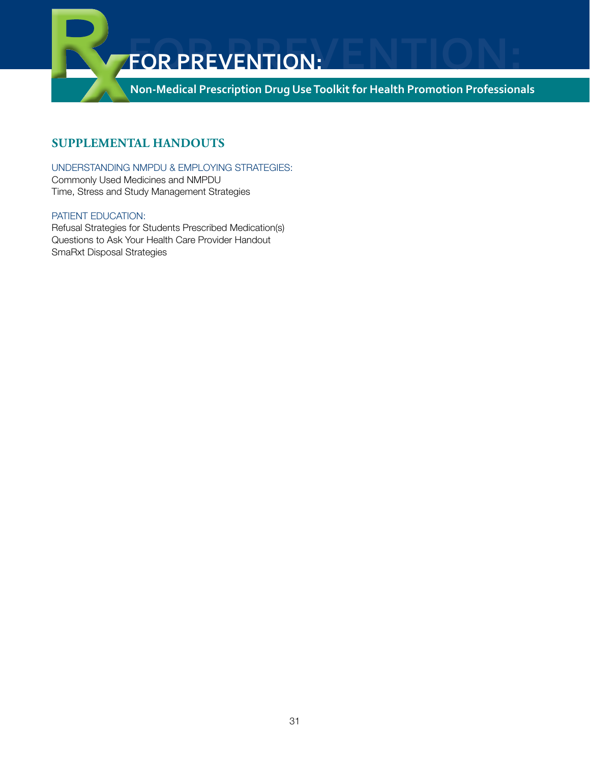

# **Supplemental Handouts**

#### Understanding NMPDU & Employing Strategies:

Commonly Used Medicines and NMPDU Time, Stress and Study Management Strategies

#### PATIENT EDUCATION:

Refusal Strategies for Students Prescribed Medication(s) Questions to Ask Your Health Care Provider Handout SmaRxt Disposal Strategies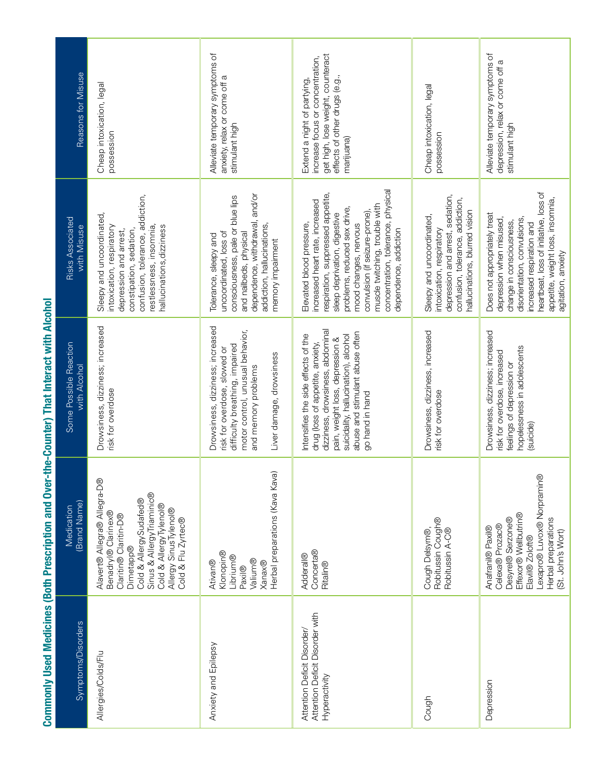| Drowsiness, dizziness; increased<br>Some Possible Reaction<br>with Alcohol<br>risk for overdose<br>Alavert® Allegra® Allegra-D®<br>(Brand Name)<br>Medication<br>Benadryl® Clarinex®                                                                                                                                        |
|-----------------------------------------------------------------------------------------------------------------------------------------------------------------------------------------------------------------------------------------------------------------------------------------------------------------------------|
| Sinus & Allergy Triaminic®<br>Cold & AllergySudafed®<br>Cold & AllergyTylenol®<br>Allergy Sinus Tylenol®<br>Claritin® Claritin-D®<br>Cold & Flu Zyrtec®<br><b>Dimetapp®</b>                                                                                                                                                 |
| Drowsiness, dizziness; increased<br>motor control, unusual behavior,<br>difficulty breathing, impaired<br>risk for overdose, slowed or<br>Liver damage, drowsiness<br>and memory problems<br>Herbal preparations (Kava Kava)                                                                                                |
| dizziness, drowsiness, abdominal<br>abuse and stimulant abuse often<br>suicidality, hallucination), alcohol<br>Intensifies the side effects of the<br>pain, weight loss, depression &<br>drug (loss of appetite, anxiety,<br>go hand in hand                                                                                |
| Drowsiness, dizziness, increased<br>risk for overdose<br>Robitussin Cough®<br>Cough Delsym®,<br>Robitussin A-C®                                                                                                                                                                                                             |
| Drowsiness, dizziness; increased<br>hopelessness in adolescents<br>risk for overdose, increased<br>feelings of depression or<br>(suicide)<br>Lexapro® Luvox® Norpramin®<br>Effexor® Wellbutrin®<br>Herbal preparations<br>Desyrel® Serzone®<br>Celexa® Prozac®<br>Anafranil® Paxil®<br>(St. John's Wort)<br>Elavil® Zoloft® |

# Commonly Used Medicines (Both Prescription and Over-the-Counter) That Interact with Alcohol Commonly Used Medicines (Both Prescription and Over-the-Counter) That Interact with Alcohol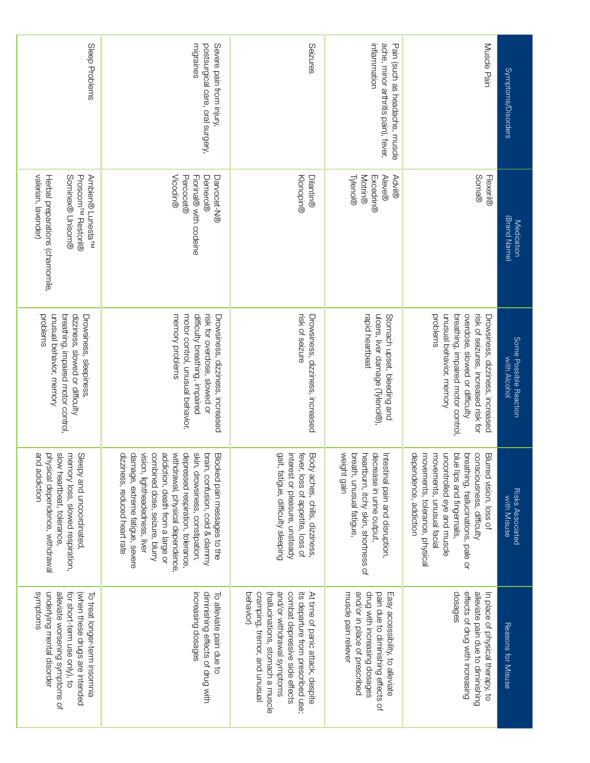| Sleep Problems                                                                                                                                                              | migraines<br>postsurgical care, oral surgery,<br>Severe pain from injury,                                                                                                                                                                                                                                                                               | Seizures                                                                                                                                                                                                                  | inflammation<br>Pain (such as headache, muscle<br>ache, minor arthritis pain), fever,                                                                           | Muscle Pain                                                                                                                                                                                                                                     | Symptoms/Disorders                     |
|-----------------------------------------------------------------------------------------------------------------------------------------------------------------------------|---------------------------------------------------------------------------------------------------------------------------------------------------------------------------------------------------------------------------------------------------------------------------------------------------------------------------------------------------------|---------------------------------------------------------------------------------------------------------------------------------------------------------------------------------------------------------------------------|-----------------------------------------------------------------------------------------------------------------------------------------------------------------|-------------------------------------------------------------------------------------------------------------------------------------------------------------------------------------------------------------------------------------------------|----------------------------------------|
| valerian, lavender)<br>Sominex® Unisom®<br>Proscom <sup>rw</sup> Restoril®<br>Ambien® Lunesta <sup>™</sup><br>Herbal preparations (chamomile,                               | Vicodin®<br>Demerol®<br>Percocet®<br>Fiorinal® with codeine<br>Darvocet-N®                                                                                                                                                                                                                                                                              | Klonopin®<br>Dilantin®                                                                                                                                                                                                    | <b>Motrin®</b><br><b>Aleve®</b><br><b>Advil®</b><br>Tylenol®<br><b>Excedrin®</b>                                                                                | Soma®<br>Flexeril®                                                                                                                                                                                                                              | (Brand Name)<br>Medication             |
| unusual behavior, memory<br>dizziness, slowed or difficulty<br>problems<br>breathing, impaired motor control,<br>Drowsiness, sleepiness,                                    | difficulty breathing, impaired<br>risk for overdose, slowed or<br>motor control, unusual behavior,<br>memory problems<br>Drowsiness, dizziness, increased                                                                                                                                                                                               | risk of seizure<br>Drowsiness, dizziness, increased                                                                                                                                                                       | rapid heartbeat<br>ulcers, liver damage (Tylenol®),<br>Stomach upset, bleeding and                                                                              | unusual behavior, memory<br>overdose, slowed or difficulty<br>risk of seizures, increased risk for<br>problems<br>breathing, impaired motor control,<br>Drowsiness, dizziness, increased                                                        | Some Possible Reaction<br>with Alcohol |
| slow heartbeat, tolerance,<br>and addiction<br>physical dependence, withdrawal<br>memory loss, slowed respiration,<br>Sleepy and uncoordinated,                             | vision, lightheadedness, liver<br>withdrawal, physical dependence,<br>damage, extreme fatigue, severe<br>combined dose, seizure, blurry<br>addiction, death from a large or<br>depressed respiration, tolerance,<br>skin, drowsiness, constipation,<br>dizziness, reduced heart rate<br>brain, confusion, cold & clammy<br>Blocked pain messages to the | gait, fatigue, difficulty sleeping<br>interest or pleasure, unsteady<br>fever, loss of appetite, loss of<br>Body aches, chills, dizziness,                                                                                | weight gain<br>breath, unusual fatigue,<br>decrease in urine output,<br>heartburn, itchy skin, shortness of<br>Intestinal pain and disruption                   | movements, tolerance, physical<br>movements, unusual facial<br>uncontrolled eye and muscle<br>dependence, addiction<br>blue lips and fingernails,<br>consciousness, difficulty<br>Blurred vision, loss of<br>breathing, hallucinations, pale or | Risks Associated<br>With Misuse        |
| alleviate worsening symptoms of<br>smotoms<br>underlying mental disorder<br>(when these drugs are intended<br>for short-term use only), to<br>To treat longer-term insomnia | increasing dosages<br>diminishing effects of drug with<br>To alleviate pain due to                                                                                                                                                                                                                                                                      | combat depressive side effects<br>behavior)<br>cramping, tremor, and unusual<br>(hallucinations, stomach a muscle<br>and/or withdrawal symptoms<br>its departure from prescribed use;<br>At time of panic attack, despite | drug with increasing dosages<br>and/or in place of prescribed<br>pain due to diminishing effects of<br>muscle pain reliever<br>Easy accessibility, to alleviate | effects of drug with increasing<br>alleviate pain due to diminishing<br>dosages<br>In place of physical therapy, to                                                                                                                             | Reasons for Misuse                     |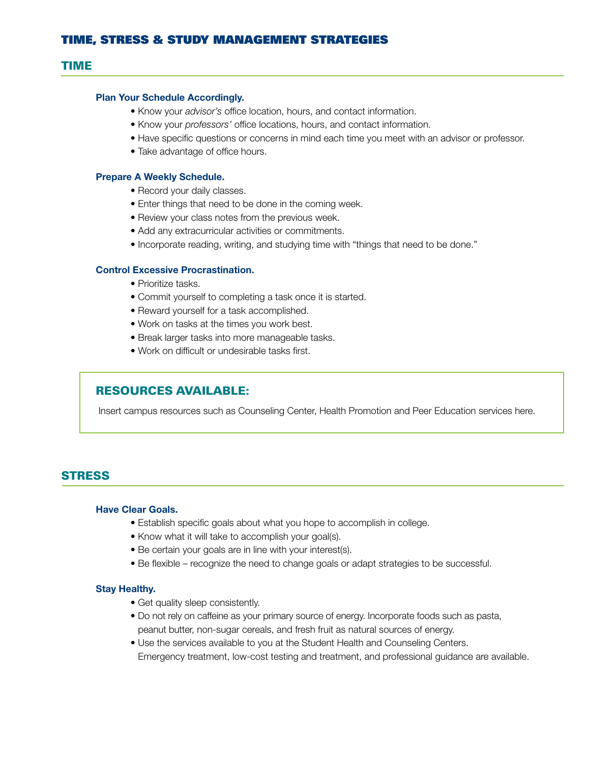#### TIME

#### Plan Your Schedule Accordingly.

- Know your *advisor's* office location, hours, and contact information.
- Know your *professors'* office locations, hours, and contact information.
- Have specific questions or concerns in mind each time you meet with an advisor or professor.
- Take advantage of office hours.

#### Prepare A Weekly Schedule.

- Record your daily classes.
- Enter things that need to be done in the coming week.
- Review your class notes from the previous week.
- Add any extracurricular activities or commitments.
- Incorporate reading, writing, and studying time with "things that need to be done."

#### Control Excessive Procrastination.

- Prioritize tasks.
- Commit yourself to completing a task once it is started.
- Reward yourself for a task accomplished.
- Work on tasks at the times you work best.
- Break larger tasks into more manageable tasks.
- Work on difficult or undesirable tasks first.

#### RESOURCES AVAILABLE:

Insert campus resources such as Counseling Center, Health Promotion and Peer Education services here.

#### **STRESS**

#### Have Clear Goals.

- Establish specific goals about what you hope to accomplish in college.
- Know what it will take to accomplish your goal(s).
- Be certain your goals are in line with your interest(s).
- Be flexible recognize the need to change goals or adapt strategies to be successful.

#### Stay Healthy.

- Get quality sleep consistently.
- Do not rely on caffeine as your primary source of energy. Incorporate foods such as pasta, peanut butter, non-sugar cereals, and fresh fruit as natural sources of energy.
- Use the services available to you at the Student Health and Counseling Centers. Emergency treatment, low-cost testing and treatment, and professional guidance are available.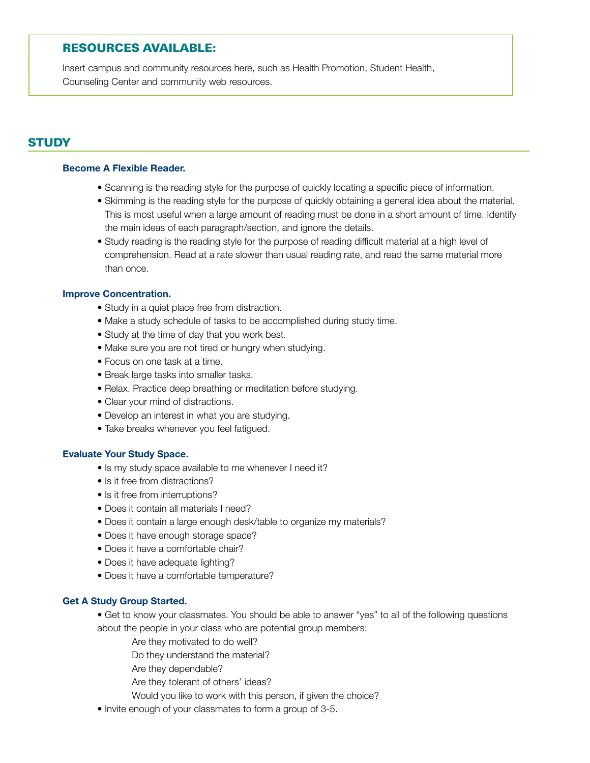# RESOURCES AVAILABLE:

Insert campus and community resources here, such as Health Promotion, Student Health, Counseling Center and community web resources.

# **STUDY**

#### Become A Flexible Reader.

- Scanning is the reading style for the purpose of quickly locating a specific piece of information.
- Skimming is the reading style for the purpose of quickly obtaining a general idea about the material. This is most useful when a large amount of reading must be done in a short amount of time. Identify the main ideas of each paragraph/section, and ignore the details.
- Study reading is the reading style for the purpose of reading difficult material at a high level of comprehension. Read at a rate slower than usual reading rate, and read the same material more than once.

#### Improve Concentration.

- Study in a quiet place free from distraction.
- Make a study schedule of tasks to be accomplished during study time.
- Study at the time of day that you work best.
- Make sure you are not tired or hungry when studying.
- Focus on one task at a time.
- Break large tasks into smaller tasks.
- Relax. Practice deep breathing or meditation before studying.
- Clear your mind of distractions.
- Develop an interest in what you are studying.
- Take breaks whenever you feel fatigued.

#### Evaluate Your Study Space.

- Is my study space available to me whenever I need it?
- Is it free from distractions?
- Is it free from interruptions?
- Does it contain all materials I need?
- Does it contain a large enough desk/table to organize my materials?
- Does it have enough storage space?
- Does it have a comfortable chair?
- Does it have adequate lighting?
- Does it have a comfortable temperature?

#### Get A Study Group Started.

- Get to know your classmates. You should be able to answer "yes" to all of the following questions about the people in your class who are potential group members:
	- Are they motivated to do well?
	- Do they understand the material?
	- Are they dependable?
	- Are they tolerant of others' ideas?
	- Would you like to work with this person, if given the choice?
- Invite enough of your classmates to form a group of 3-5.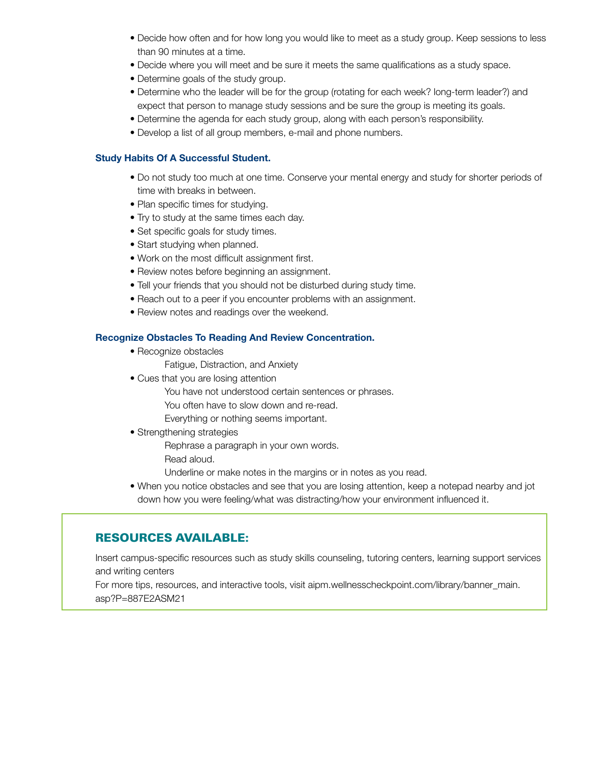- Decide how often and for how long you would like to meet as a study group. Keep sessions to less than 90 minutes at a time.
- Decide where you will meet and be sure it meets the same qualifications as a study space.
- Determine goals of the study group.
- Determine who the leader will be for the group (rotating for each week? long-term leader?) and expect that person to manage study sessions and be sure the group is meeting its goals.
- Determine the agenda for each study group, along with each person's responsibility.
- Develop a list of all group members, e-mail and phone numbers.

#### Study Habits Of A Successful Student.

- Do not study too much at one time. Conserve your mental energy and study for shorter periods of time with breaks in between.
- Plan specific times for studying.
- Try to study at the same times each day.
- Set specific goals for study times.
- Start studying when planned.
- Work on the most difficult assignment first.
- Review notes before beginning an assignment.
- Tell your friends that you should not be disturbed during study time.
- Reach out to a peer if you encounter problems with an assignment.
- Review notes and readings over the weekend.

#### Recognize Obstacles To Reading And Review Concentration.

- Recognize obstacles
	- Fatigue, Distraction, and Anxiety
- Cues that you are losing attention
	- You have not understood certain sentences or phrases.
	- You often have to slow down and re-read.
	- Everything or nothing seems important.

#### • Strengthening strategies

Rephrase a paragraph in your own words.

Read aloud.

Underline or make notes in the margins or in notes as you read.

 • When you notice obstacles and see that you are losing attention, keep a notepad nearby and jot down how you were feeling/what was distracting/how your environment influenced it.

## RESOURCES AVAILABLE:

Insert campus-specific resources such as study skills counseling, tutoring centers, learning support services and writing centers

For more tips, resources, and interactive tools, visit aipm.wellnesscheckpoint.com/library/banner\_main. asp?P=887E2ASM21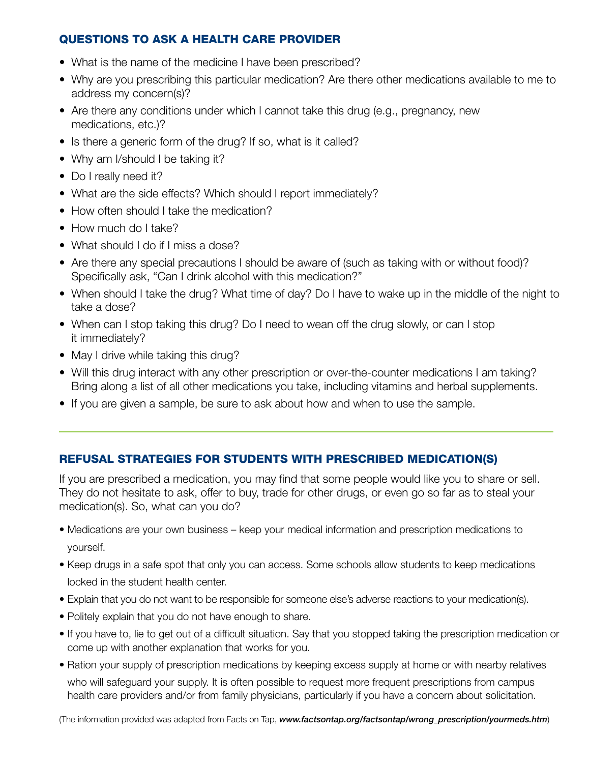# QUESTIONS TO ASK A HEALTH CARE PROVIDER

- What is the name of the medicine I have been prescribed?
- Why are you prescribing this particular medication? Are there other medications available to me to address my concern(s)?
- Are there any conditions under which I cannot take this drug (e.g., pregnancy, new medications, etc.)?
- Is there a generic form of the drug? If so, what is it called?
- Why am I/should I be taking it?
- Do I really need it?
- What are the side effects? Which should I report immediately?
- How often should I take the medication?
- How much do I take?
- What should I do if I miss a dose?
- Are there any special precautions I should be aware of (such as taking with or without food)? Specifically ask, "Can I drink alcohol with this medication?"
- When should I take the drug? What time of day? Do I have to wake up in the middle of the night to take a dose?
- When can I stop taking this drug? Do I need to wean off the drug slowly, or can I stop it immediately?
- May I drive while taking this drug?
- Will this drug interact with any other prescription or over-the-counter medications I am taking? Bring along a list of all other medications you take, including vitamins and herbal supplements.
- If you are given a sample, be sure to ask about how and when to use the sample.

# REFUSAL STRATEGIES FOR STUDENTS WITH PRESCRIBED MEDICATION(S)

If you are prescribed a medication, you may find that some people would like you to share or sell. They do not hesitate to ask, offer to buy, trade for other drugs, or even go so far as to steal your medication(s). So, what can you do?

- Medications are your own business keep your medical information and prescription medications to yourself.
- Keep drugs in a safe spot that only you can access. Some schools allow students to keep medications locked in the student health center.
- Explain that you do not want to be responsible for someone else's adverse reactions to your medication(s).
- Politely explain that you do not have enough to share.
- If you have to, lie to get out of a difficult situation. Say that you stopped taking the prescription medication or come up with another explanation that works for you.
- Ration your supply of prescription medications by keeping excess supply at home or with nearby relatives who will safeguard your supply. It is often possible to request more frequent prescriptions from campus health care providers and/or from family physicians, particularly if you have a concern about solicitation.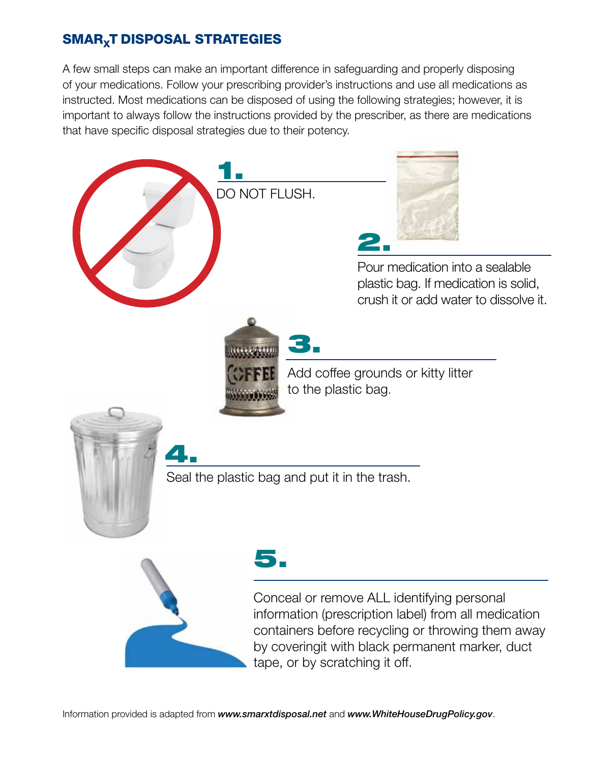# SMAR<sub>X</sub>T DISPOSAL STRATEGIES

A few small steps can make an important difference in safeguarding and properly disposing of your medications. Follow your prescribing provider's instructions and use all medications as instructed. Most medications can be disposed of using the following strategies; however, it is important to always follow the instructions provided by the prescriber, as there are medications that have specific disposal strategies due to their potency.

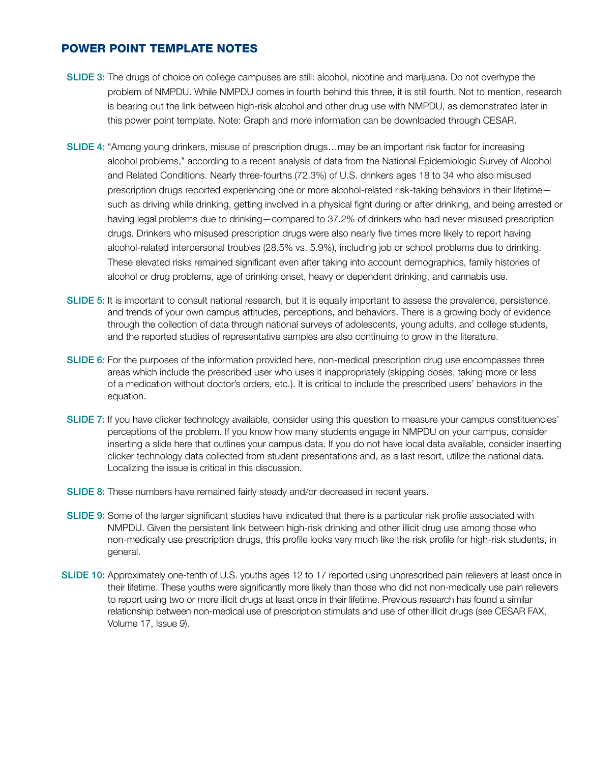## POWER POINT TEMPLATE NOTES

- SLIDE 3: The drugs of choice on college campuses are still: alcohol, nicotine and marijuana. Do not overhype the problem of NMPDU. While NMPDU comes in fourth behind this three, it is still fourth. Not to mention, research is bearing out the link between high-risk alcohol and other drug use with NMPDU, as demonstrated later in this power point template. Note: Graph and more information can be downloaded through CESAR.
- SLIDE 4: "Among young drinkers, misuse of prescription drugs…may be an important risk factor for increasing alcohol problems," according to a recent analysis of data from the National Epidemiologic Survey of Alcohol and Related Conditions. Nearly three-fourths (72.3%) of U.S. drinkers ages 18 to 34 who also misused prescription drugs reported experiencing one or more alcohol-related risk-taking behaviors in their lifetime such as driving while drinking, getting involved in a physical fight during or after drinking, and being arrested or having legal problems due to drinking—compared to 37.2% of drinkers who had never misused prescription drugs. Drinkers who misused prescription drugs were also nearly five times more likely to report having alcohol-related interpersonal troubles (28.5% vs. 5.9%), including job or school problems due to drinking. These elevated risks remained significant even after taking into account demographics, family histories of alcohol or drug problems, age of drinking onset, heavy or dependent drinking, and cannabis use.
- SLIDE 5: It is important to consult national research, but it is equally important to assess the prevalence, persistence, and trends of your own campus attitudes, perceptions, and behaviors. There is a growing body of evidence through the collection of data through national surveys of adolescents, young adults, and college students, and the reported studies of representative samples are also continuing to grow in the literature.
- SLIDE 6: For the purposes of the information provided here, non-medical prescription drug use encompasses three areas which include the prescribed user who uses it inappropriately (skipping doses, taking more or less of a medication without doctor's orders, etc.). It is critical to include the prescribed users' behaviors in the equation.
- SLIDE 7: If you have clicker technology available, consider using this question to measure your campus constituencies' perceptions of the problem. If you know how many students engage in NMPDU on your campus, consider inserting a slide here that outlines your campus data. If you do not have local data available, consider inserting clicker technology data collected from student presentations and, as a last resort, utilize the national data. Localizing the issue is critical in this discussion.
- SLIDE 8: These numbers have remained fairly steady and/or decreased in recent years.
- SLIDE 9: Some of the larger significant studies have indicated that there is a particular risk profile associated with NMPDU. Given the persistent link between high-risk drinking and other illicit drug use among those who non-medically use prescription drugs, this profile looks very much like the risk profile for high-risk students, in general.
- SLIDE 10: Approximately one-tenth of U.S. youths ages 12 to 17 reported using unprescribed pain relievers at least once in their lifetime. These youths were significantly more likely than those who did not non-medically use pain relievers to report using two or more illicit drugs at least once in their lifetime. Previous research has found a similar relationship between non-medical use of prescription stimulats and use of other illicit drugs (see CESAR FAX, Volume 17, Issue 9).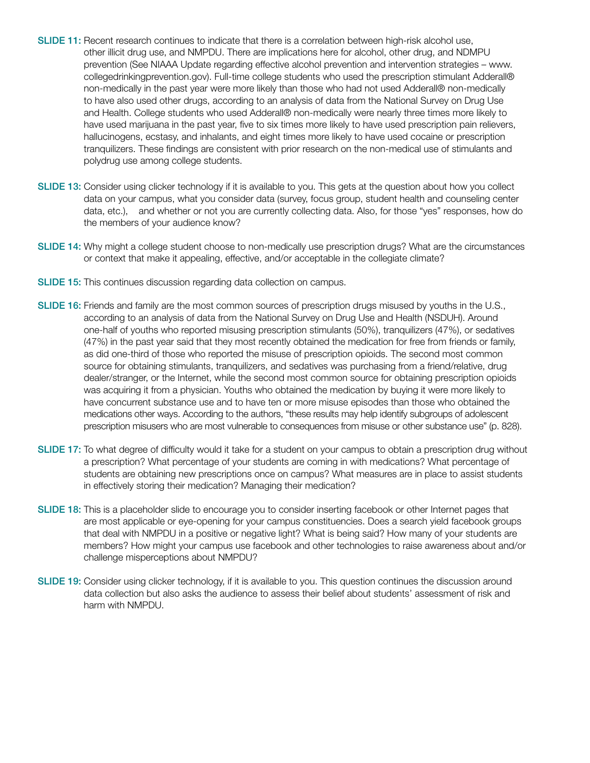- SLIDE 11: Recent research continues to indicate that there is a correlation between high-risk alcohol use, other illicit drug use, and NMPDU. There are implications here for alcohol, other drug, and NDMPU prevention (See NIAAA Update regarding effective alcohol prevention and intervention strategies – www. collegedrinkingprevention.gov). Full-time college students who used the prescription stimulant Adderall® non-medically in the past year were more likely than those who had not used Adderall® non-medically to have also used other drugs, according to an analysis of data from the National Survey on Drug Use and Health. College students who used Adderall® non-medically were nearly three times more likely to have used marijuana in the past year, five to six times more likely to have used prescription pain relievers, hallucinogens, ecstasy, and inhalants, and eight times more likely to have used cocaine or prescription tranquilizers. These findings are consistent with prior research on the non-medical use of stimulants and polydrug use among college students.
- SLIDE 13: Consider using clicker technology if it is available to you. This gets at the question about how you collect data on your campus, what you consider data (survey, focus group, student health and counseling center data, etc.), and whether or not you are currently collecting data. Also, for those "yes" responses, how do the members of your audience know?
- SLIDE 14: Why might a college student choose to non-medically use prescription drugs? What are the circumstances or context that make it appealing, effective, and/or acceptable in the collegiate climate?
- **SLIDE 15:** This continues discussion regarding data collection on campus.
- SLIDE 16: Friends and family are the most common sources of prescription drugs misused by youths in the U.S., according to an analysis of data from the National Survey on Drug Use and Health (NSDUH). Around one-half of youths who reported misusing prescription stimulants (50%), tranquilizers (47%), or sedatives (47%) in the past year said that they most recently obtained the medication for free from friends or family, as did one-third of those who reported the misuse of prescription opioids. The second most common source for obtaining stimulants, tranquilizers, and sedatives was purchasing from a friend/relative, drug dealer/stranger, or the Internet, while the second most common source for obtaining prescription opioids was acquiring it from a physician. Youths who obtained the medication by buying it were more likely to have concurrent substance use and to have ten or more misuse episodes than those who obtained the medications other ways. According to the authors, "these results may help identify subgroups of adolescent prescription misusers who are most vulnerable to consequences from misuse or other substance use" (p. 828).
- SLIDE 17: To what degree of difficulty would it take for a student on your campus to obtain a prescription drug without a prescription? What percentage of your students are coming in with medications? What percentage of students are obtaining new prescriptions once on campus? What measures are in place to assist students in effectively storing their medication? Managing their medication?
- SLIDE 18: This is a placeholder slide to encourage you to consider inserting facebook or other Internet pages that are most applicable or eye-opening for your campus constituencies. Does a search yield facebook groups that deal with NMPDU in a positive or negative light? What is being said? How many of your students are members? How might your campus use facebook and other technologies to raise awareness about and/or challenge misperceptions about NMPDU?
- SLIDE 19: Consider using clicker technology, if it is available to you. This question continues the discussion around data collection but also asks the audience to assess their belief about students' assessment of risk and harm with NMPDU.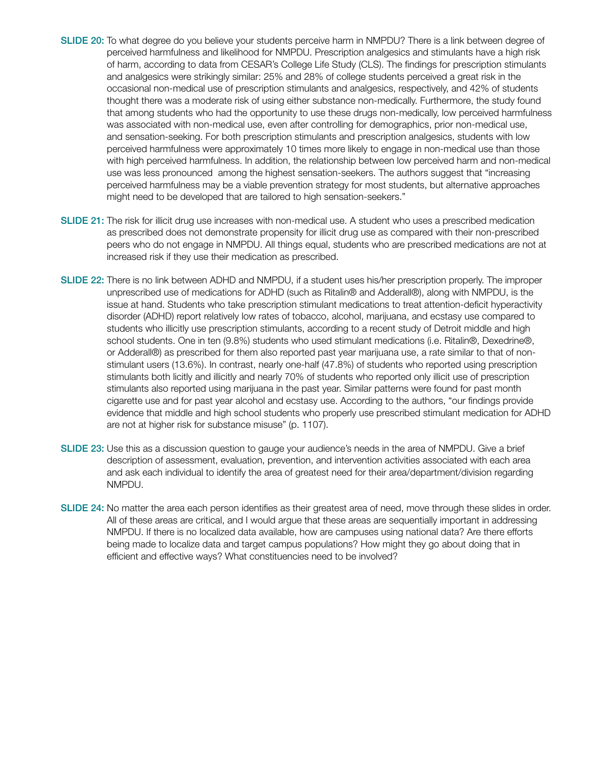- SLIDE 20: To what degree do you believe your students perceive harm in NMPDU? There is a link between degree of perceived harmfulness and likelihood for NMPDU. Prescription analgesics and stimulants have a high risk of harm, according to data from CESAR's College Life Study (CLS). The findings for prescription stimulants and analgesics were strikingly similar: 25% and 28% of college students perceived a great risk in the occasional non-medical use of prescription stimulants and analgesics, respectively, and 42% of students thought there was a moderate risk of using either substance non-medically. Furthermore, the study found that among students who had the opportunity to use these drugs non-medically, low perceived harmfulness was associated with non-medical use, even after controlling for demographics, prior non-medical use, and sensation-seeking. For both prescription stimulants and prescription analgesics, students with low perceived harmfulness were approximately 10 times more likely to engage in non-medical use than those with high perceived harmfulness. In addition, the relationship between low perceived harm and non-medical use was less pronounced among the highest sensation-seekers. The authors suggest that "increasing perceived harmfulness may be a viable prevention strategy for most students, but alternative approaches might need to be developed that are tailored to high sensation-seekers."
- SLIDE 21: The risk for illicit drug use increases with non-medical use. A student who uses a prescribed medication as prescribed does not demonstrate propensity for illicit drug use as compared with their non-prescribed peers who do not engage in NMPDU. All things equal, students who are prescribed medications are not at increased risk if they use their medication as prescribed.
- SLIDE 22: There is no link between ADHD and NMPDU, if a student uses his/her prescription properly. The improper unprescribed use of medications for ADHD (such as Ritalin® and Adderall®), along with NMPDU, is the issue at hand. Students who take prescription stimulant medications to treat attention-deficit hyperactivity disorder (ADHD) report relatively low rates of tobacco, alcohol, marijuana, and ecstasy use compared to students who illicitly use prescription stimulants, according to a recent study of Detroit middle and high school students. One in ten (9.8%) students who used stimulant medications (i.e. Ritalin®, Dexedrine®, or Adderall®) as prescribed for them also reported past year marijuana use, a rate similar to that of nonstimulant users (13.6%). In contrast, nearly one-half (47.8%) of students who reported using prescription stimulants both licitly and illicitly and nearly 70% of students who reported only illicit use of prescription stimulants also reported using marijuana in the past year. Similar patterns were found for past month cigarette use and for past year alcohol and ecstasy use. According to the authors, "our findings provide evidence that middle and high school students who properly use prescribed stimulant medication for ADHD are not at higher risk for substance misuse" (p. 1107).
- SLIDE 23: Use this as a discussion question to gauge your audience's needs in the area of NMPDU. Give a brief description of assessment, evaluation, prevention, and intervention activities associated with each area and ask each individual to identify the area of greatest need for their area/department/division regarding NMPDU.
- SLIDE 24: No matter the area each person identifies as their greatest area of need, move through these slides in order. All of these areas are critical, and I would argue that these areas are sequentially important in addressing NMPDU. If there is no localized data available, how are campuses using national data? Are there efforts being made to localize data and target campus populations? How might they go about doing that in efficient and effective ways? What constituencies need to be involved?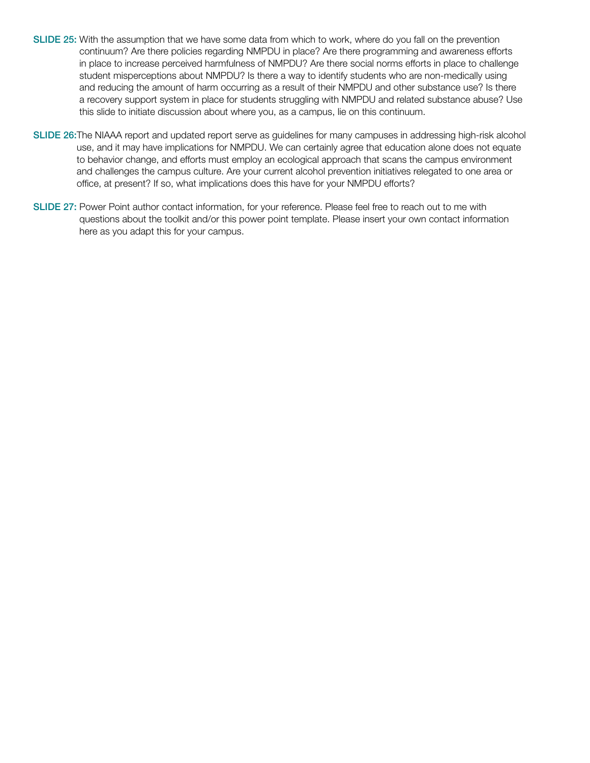- SLIDE 25: With the assumption that we have some data from which to work, where do you fall on the prevention continuum? Are there policies regarding NMPDU in place? Are there programming and awareness efforts in place to increase perceived harmfulness of NMPDU? Are there social norms efforts in place to challenge student misperceptions about NMPDU? Is there a way to identify students who are non-medically using and reducing the amount of harm occurring as a result of their NMPDU and other substance use? Is there a recovery support system in place for students struggling with NMPDU and related substance abuse? Use this slide to initiate discussion about where you, as a campus, lie on this continuum.
- SLIDE 26:The NIAAA report and updated report serve as guidelines for many campuses in addressing high-risk alcohol use, and it may have implications for NMPDU. We can certainly agree that education alone does not equate to behavior change, and efforts must employ an ecological approach that scans the campus environment and challenges the campus culture. Are your current alcohol prevention initiatives relegated to one area or office, at present? If so, what implications does this have for your NMPDU efforts?
- SLIDE 27: Power Point author contact information, for your reference. Please feel free to reach out to me with questions about the toolkit and/or this power point template. Please insert your own contact information here as you adapt this for your campus.